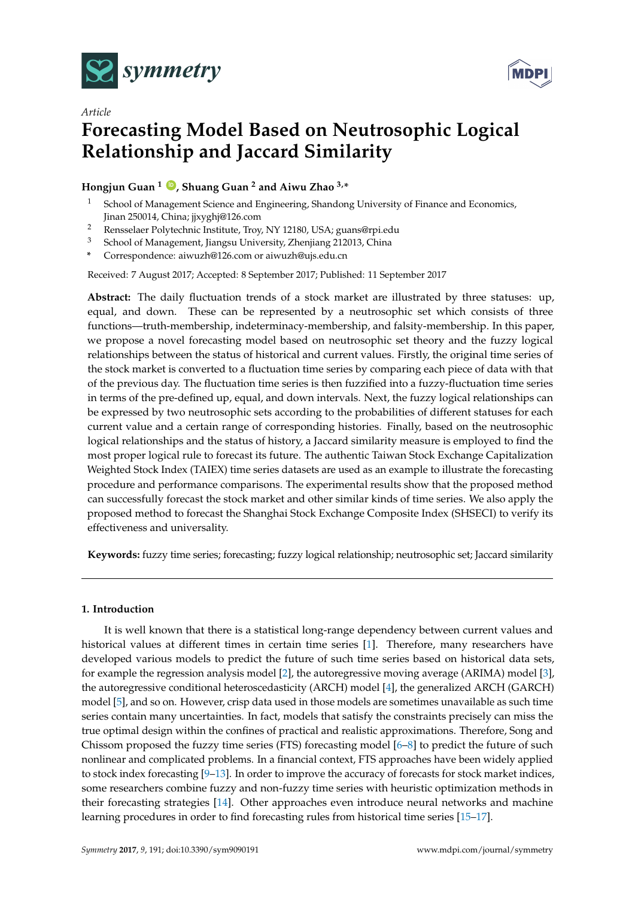

*Article*



# **Forecasting Model Based on Neutrosophic Logical Relationship and Jaccard Similarity**

# **Hongjun Guan <sup>1</sup> [ID](https://orcid.org/0000-0001-7335-5871) , Shuang Guan <sup>2</sup> and Aiwu Zhao 3,\***

- School of Management Science and Engineering, Shandong University of Finance and Economics, Jinan 250014, China; jjxyghj@126.com
- <sup>2</sup> Rensselaer Polytechnic Institute, Troy, NY 12180, USA; guans@rpi.edu
- <sup>3</sup> School of Management, Jiangsu University, Zhenjiang 212013, China
- **\*** Correspondence: aiwuzh@126.com or aiwuzh@ujs.edu.cn

Received: 7 August 2017; Accepted: 8 September 2017; Published: 11 September 2017

**Abstract:** The daily fluctuation trends of a stock market are illustrated by three statuses: up, equal, and down. These can be represented by a neutrosophic set which consists of three functions—truth-membership, indeterminacy-membership, and falsity-membership. In this paper, we propose a novel forecasting model based on neutrosophic set theory and the fuzzy logical relationships between the status of historical and current values. Firstly, the original time series of the stock market is converted to a fluctuation time series by comparing each piece of data with that of the previous day. The fluctuation time series is then fuzzified into a fuzzy-fluctuation time series in terms of the pre-defined up, equal, and down intervals. Next, the fuzzy logical relationships can be expressed by two neutrosophic sets according to the probabilities of different statuses for each current value and a certain range of corresponding histories. Finally, based on the neutrosophic logical relationships and the status of history, a Jaccard similarity measure is employed to find the most proper logical rule to forecast its future. The authentic Taiwan Stock Exchange Capitalization Weighted Stock Index (TAIEX) time series datasets are used as an example to illustrate the forecasting procedure and performance comparisons. The experimental results show that the proposed method can successfully forecast the stock market and other similar kinds of time series. We also apply the proposed method to forecast the Shanghai Stock Exchange Composite Index (SHSECI) to verify its effectiveness and universality.

**Keywords:** fuzzy time series; forecasting; fuzzy logical relationship; neutrosophic set; Jaccard similarity

# **1. Introduction**

It is well known that there is a statistical long-range dependency between current values and historical values at different times in certain time series [\[1\]](#page-14-0). Therefore, many researchers have developed various models to predict the future of such time series based on historical data sets, for example the regression analysis model [\[2\]](#page-14-1), the autoregressive moving average (ARIMA) model [\[3\]](#page-14-2), the autoregressive conditional heteroscedasticity (ARCH) model [\[4\]](#page-14-3), the generalized ARCH (GARCH) model [\[5\]](#page-14-4), and so on. However, crisp data used in those models are sometimes unavailable as such time series contain many uncertainties. In fact, models that satisfy the constraints precisely can miss the true optimal design within the confines of practical and realistic approximations. Therefore, Song and Chissom proposed the fuzzy time series (FTS) forecasting model [\[6](#page-14-5)[–8\]](#page-14-6) to predict the future of such nonlinear and complicated problems. In a financial context, FTS approaches have been widely applied to stock index forecasting [\[9–](#page-14-7)[13\]](#page-14-8). In order to improve the accuracy of forecasts for stock market indices, some researchers combine fuzzy and non-fuzzy time series with heuristic optimization methods in their forecasting strategies [\[14\]](#page-14-9). Other approaches even introduce neural networks and machine learning procedures in order to find forecasting rules from historical time series [\[15–](#page-14-10)[17\]](#page-14-11).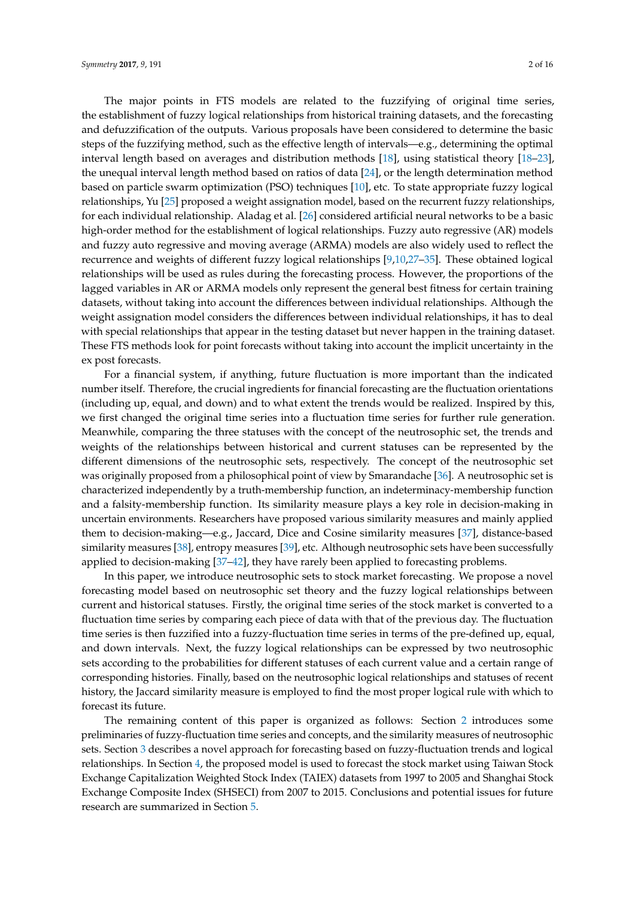The major points in FTS models are related to the fuzzifying of original time series, the establishment of fuzzy logical relationships from historical training datasets, and the forecasting and defuzzification of the outputs. Various proposals have been considered to determine the basic steps of the fuzzifying method, such as the effective length of intervals—e.g., determining the optimal interval length based on averages and distribution methods [\[18\]](#page-14-12), using statistical theory [\[18](#page-14-12)[–23\]](#page-14-13), the unequal interval length method based on ratios of data [\[24\]](#page-14-14), or the length determination method based on particle swarm optimization (PSO) techniques [\[10\]](#page-14-15), etc. To state appropriate fuzzy logical relationships, Yu [\[25\]](#page-14-16) proposed a weight assignation model, based on the recurrent fuzzy relationships, for each individual relationship. Aladag et al. [\[26\]](#page-15-0) considered artificial neural networks to be a basic high-order method for the establishment of logical relationships. Fuzzy auto regressive (AR) models and fuzzy auto regressive and moving average (ARMA) models are also widely used to reflect the recurrence and weights of different fuzzy logical relationships [\[9](#page-14-7)[,10](#page-14-15)[,27–](#page-15-1)[35\]](#page-15-2). These obtained logical relationships will be used as rules during the forecasting process. However, the proportions of the lagged variables in AR or ARMA models only represent the general best fitness for certain training datasets, without taking into account the differences between individual relationships. Although the weight assignation model considers the differences between individual relationships, it has to deal with special relationships that appear in the testing dataset but never happen in the training dataset. These FTS methods look for point forecasts without taking into account the implicit uncertainty in the ex post forecasts.

For a financial system, if anything, future fluctuation is more important than the indicated number itself. Therefore, the crucial ingredients for financial forecasting are the fluctuation orientations (including up, equal, and down) and to what extent the trends would be realized. Inspired by this, we first changed the original time series into a fluctuation time series for further rule generation. Meanwhile, comparing the three statuses with the concept of the neutrosophic set, the trends and weights of the relationships between historical and current statuses can be represented by the different dimensions of the neutrosophic sets, respectively. The concept of the neutrosophic set was originally proposed from a philosophical point of view by Smarandache [\[36\]](#page-15-3). A neutrosophic set is characterized independently by a truth-membership function, an indeterminacy-membership function and a falsity-membership function. Its similarity measure plays a key role in decision-making in uncertain environments. Researchers have proposed various similarity measures and mainly applied them to decision-making—e.g., Jaccard, Dice and Cosine similarity measures [\[37\]](#page-15-4), distance-based similarity measures [\[38\]](#page-15-5), entropy measures [\[39\]](#page-15-6), etc. Although neutrosophic sets have been successfully applied to decision-making [\[37–](#page-15-4)[42\]](#page-15-7), they have rarely been applied to forecasting problems.

In this paper, we introduce neutrosophic sets to stock market forecasting. We propose a novel forecasting model based on neutrosophic set theory and the fuzzy logical relationships between current and historical statuses. Firstly, the original time series of the stock market is converted to a fluctuation time series by comparing each piece of data with that of the previous day. The fluctuation time series is then fuzzified into a fuzzy-fluctuation time series in terms of the pre-defined up, equal, and down intervals. Next, the fuzzy logical relationships can be expressed by two neutrosophic sets according to the probabilities for different statuses of each current value and a certain range of corresponding histories. Finally, based on the neutrosophic logical relationships and statuses of recent history, the Jaccard similarity measure is employed to find the most proper logical rule with which to forecast its future.

The remaining content of this paper is organized as follows: Section [2](#page-2-0) introduces some preliminaries of fuzzy-fluctuation time series and concepts, and the similarity measures of neutrosophic sets. Section [3](#page-3-0) describes a novel approach for forecasting based on fuzzy-fluctuation trends and logical relationships. In Section [4,](#page-4-0) the proposed model is used to forecast the stock market using Taiwan Stock Exchange Capitalization Weighted Stock Index (TAIEX) datasets from 1997 to 2005 and Shanghai Stock Exchange Composite Index (SHSECI) from 2007 to 2015. Conclusions and potential issues for future research are summarized in Section [5.](#page-9-0)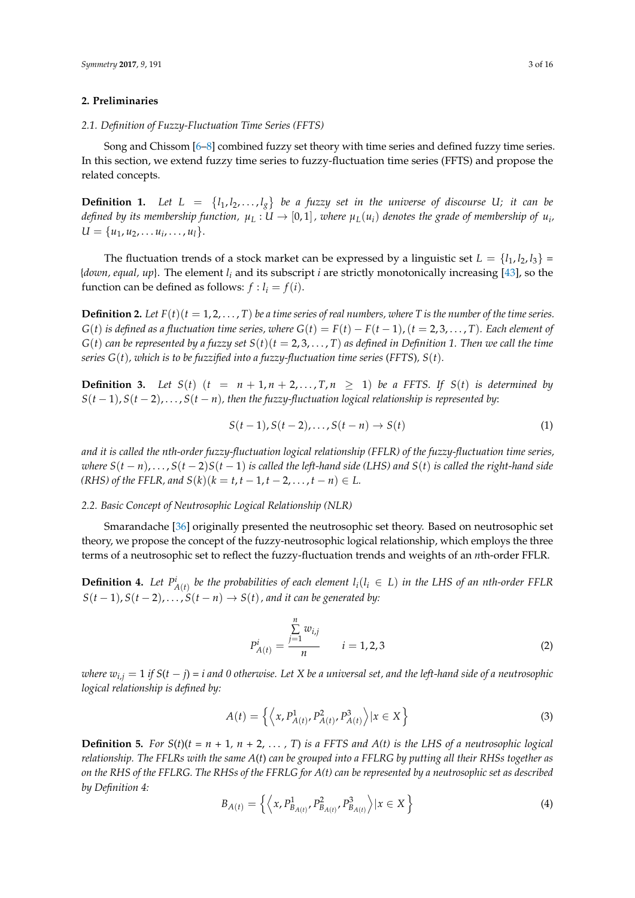## <span id="page-2-0"></span>**2. Preliminaries**

#### *2.1. Definition of Fuzzy-Fluctuation Time Series (FFTS)*

Song and Chissom [\[6–](#page-14-5)[8\]](#page-14-6) combined fuzzy set theory with time series and defined fuzzy time series. In this section, we extend fuzzy time series to fuzzy-fluctuation time series (FFTS) and propose the related concepts.

**Definition 1.** Let  $L = \{l_1, l_2, ..., l_g\}$  be a fuzzy set in the universe of discourse U; it can be *defined by its membership function,*  $\mu_L: U \to [0,1]$  *, where*  $\mu_L(u_i)$  *denotes the grade of membership of*  $u_i$ *,*  $U = \{u_1, u_2, \ldots, u_i, \ldots, u_l\}.$ 

The fluctuation trends of a stock market can be expressed by a linguistic set  $L = \{l_1, l_2, l_3\}$ {*down, equal, up*}. The element *l<sup>i</sup>* and its subscript *i* are strictly monotonically increasing [\[43\]](#page-15-8), so the function can be defined as follows:  $f : l_i = f(i)$ .

**Definition 2.** Let  $F(t)(t = 1, 2, ..., T)$  be a time series of real numbers, where T is the number of the time series. *G*(*t*) *is defined as a fluctuation time series, where*  $G(t) = F(t) - F(t-1)$ *, (* $t = 2, 3, ..., T$ *). Each element of*  $G(t)$  *can be represented by a fuzzy set*  $S(t)$  ( $t = 2, 3, \ldots, T$ ) *as defined in Definition 1. Then we call the time series G*(*t*)*, which is to be fuzzified into a fuzzy-fluctuation time series* (*FFTS*)*, S*(*t*)*.*

**Definition 3.** Let  $S(t)$   $(t = n + 1, n + 2, \ldots, T, n \ge 1)$  be a FFTS. If  $S(t)$  is determined by *S*(*t* − 1), *S*(*t* − 2), . . . , *S*(*t* − *n*)*, then the fuzzy-fluctuation logical relationship is represented by*:

$$
S(t-1), S(t-2), \ldots, S(t-n) \to S(t) \tag{1}
$$

*and it is called the nth-order fuzzy-fluctuation logical relationship (FFLR) of the fuzzy-fluctuation time series, where*  $S(t - n)$ , ...,  $S(t - 2)S(t - 1)$  *is called the left-hand side* (LHS) and  $S(t)$  *is called the right-hand side (RHS) of the FFLR, and S(k)*( $k = t, t − 1, t − 2, ..., t − n$ ) ∈ *L.* 

# *2.2. Basic Concept of Neutrosophic Logical Relationship (NLR)*

Smarandache [\[36\]](#page-15-3) originally presented the neutrosophic set theory. Based on neutrosophic set theory, we propose the concept of the fuzzy-neutrosophic logical relationship, which employs the three terms of a neutrosophic set to reflect the fuzzy-fluctuation trends and weights of an *n*th-order FFLR.

**Definition 4.** Let  $P^i_{A(t)}$  be the probabilities of each element  $l_i(l_i \in L)$  in the LHS of an nth-order FFLR  $S(t-1)$ ,  $S(t-2)$ , ...,  $S(t-n) \rightarrow S(t)$ , and it can be generated by:

$$
P_{A(t)}^{i} = \frac{\sum_{j=1}^{n} w_{i,j}}{n} \qquad i = 1, 2, 3
$$
 (2)

*where*  $w_{i,j} = 1$  *if*  $S(t - j) = i$  and 0 otherwise. Let X be a universal set, and the left-hand side of a neutrosophic *logical relationship is defined by:*

$$
A(t) = \left\{ \left\langle x, P_{A(t)}^1, P_{A(t)}^2, P_{A(t)}^3 \right\rangle | x \in X \right\}
$$
 (3)

**Definition 5.** For  $S(t)(t = n + 1, n + 2, \ldots, T)$  is a FFTS and  $A(t)$  is the LHS of a neutrosophic logical *relationship. The FFLRs with the same A*(*t*) *can be grouped into a FFLRG by putting all their RHSs together as on the RHS of the FFLRG. The RHSs of the FFRLG for A(t) can be represented by a neutrosophic set as described by Definition 4:*

$$
B_{A(t)} = \left\{ \left\langle x, P_{B_{A(t)}}^1, P_{B_{A(t)}}^2, P_{B_{A(t)}}^3 \right\rangle | x \in X \right\}
$$
 (4)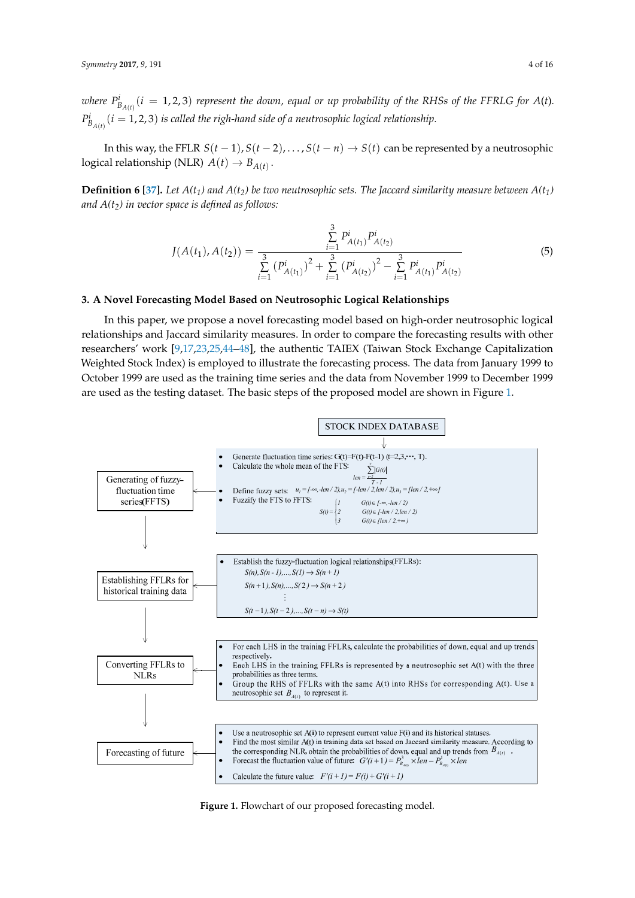where  $P^i_{B_{A(t)}}(i=1,2,3)$  represent the down, equal or up probability of the RHSs of the FFRLG for  $A(t)$ .  $P^i_{B_{A(t)}}(i=1,2,3)$  *is called the righ-hand side of a neutrosophic logical relationship.* 

In this way, the FFLR  $S(t-1)$ ,  $S(t-2)$ , ...,  $S(t-n) \rightarrow S(t)$  can be represented by a neutrosophic logical relationship (NLR)  $A(t) \rightarrow B_{A(t)}$ .

**Definition 6** [\[37\]](#page-15-4). Let  $A(t_1)$  and  $A(t_2)$  be two neutrosophic sets. The Jaccard similarity measure between  $A(t_1)$ *and A(t2) in vector space is defined as follows:*

$$
J(A(t_1), A(t_2)) = \frac{\sum\limits_{i=1}^3 P_{A(t_1)}^i P_{A(t_2)}^i}{\sum\limits_{i=1}^3 (P_{A(t_1)}^i)^2 + \sum\limits_{i=1}^3 (P_{A(t_2)}^i)^2 - \sum\limits_{i=1}^3 P_{A(t_1)}^i P_{A(t_2)}^i}
$$
(5)

# <span id="page-3-0"></span>**3. A Novel Forecasting Model Based on Neutrosophic Logical Relationships**

In this paper, we propose a novel forecasting model based on high-order neutrosophic logical relationships and Jaccard similarity measures. In order to compare the forecasting results with other researchers' work [\[9,](#page-14-7)[17](#page-14-11)[,23,](#page-14-13)[25](#page-14-16)[,44](#page-15-9)[–48\]](#page-15-10), the authentic TAIEX (Taiwan Stock Exchange Capitalization Weighted Stock Index) is employed to illustrate the forecasting process. The data from January 1999 to October 1999 are used as the training time series and the data from November 1999 to December 1999 are used as the testing dataset. The basic steps of the proposed model are shown in Figure 1.

<span id="page-3-1"></span>

Figure 1. Flowchart of our proposed forecasting model. **Figure 1.** Flowchart of our proposed forecasting model.<br> **Figure 1.** Flowchart of our proposed forecasting model.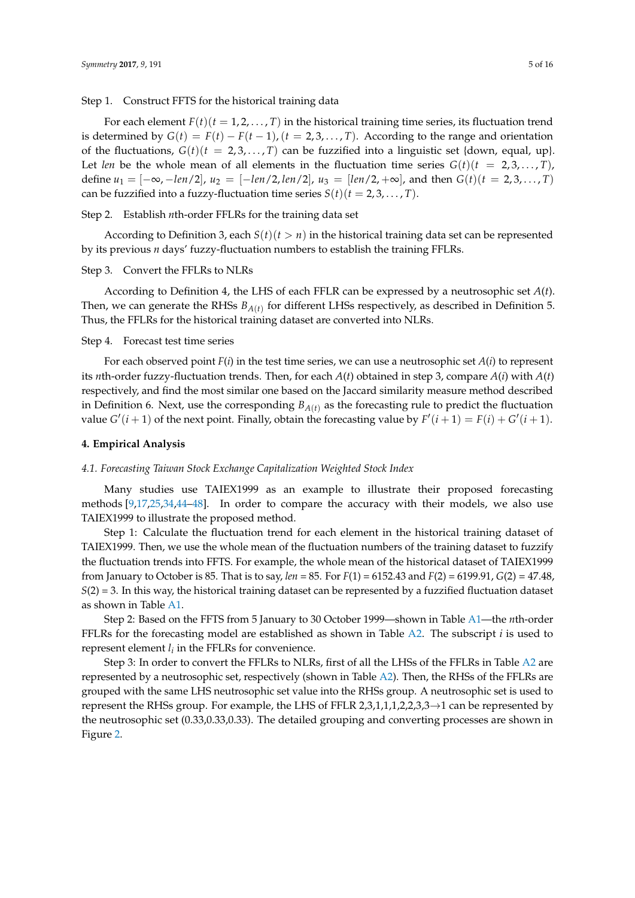Step 1. Construct FFTS for the historical training data

For each element  $F(t)$  ( $t = 1, 2, ..., T$ ) in the historical training time series, its fluctuation trend is determined by  $G(t) = F(t) - F(t-1)$ ,  $(t = 2, 3, ..., T)$ . According to the range and orientation of the fluctuations,  $G(t)(t = 2, 3, ..., T)$  can be fuzzified into a linguistic set {down, equal, up}. Let *len* be the whole mean of all elements in the fluctuation time series  $G(t)(t = 2, 3, ..., T)$ , define  $u_1 = [-\infty, -\ell n/2], u_2 = [-\ell n/2, \ell n/2], u_3 = [\ell n/2, +\infty],$  and then  $G(t)(t = 2, 3, ..., T)$ can be fuzzified into a fuzzy-fluctuation time series  $S(t)$  ( $t = 2, 3, ..., T$ ).

### Step 2. Establish *n*th-order FFLRs for the training data set

According to Definition 3, each  $S(t)(t > n)$  in the historical training data set can be represented by its previous *n* days' fuzzy-fluctuation numbers to establish the training FFLRs.

#### Step 3. Convert the FFLRs to NLRs

According to Definition 4, the LHS of each FFLR can be expressed by a neutrosophic set *A*(*t*). Then, we can generate the RHSs *BA*(*t*) for different LHSs respectively, as described in Definition 5. Thus, the FFLRs for the historical training dataset are converted into NLRs.

#### Step 4. Forecast test time series

For each observed point *F*(*i*) in the test time series, we can use a neutrosophic set *A*(*i*) to represent its *n*th-order fuzzy-fluctuation trends. Then, for each *A*(*t*) obtained in step 3, compare *A*(*i*) with *A*(*t*) respectively, and find the most similar one based on the Jaccard similarity measure method described in Definition 6. Next, use the corresponding  $B_{A(t)}$  as the forecasting rule to predict the fluctuation value  $G'(i + 1)$  of the next point. Finally, obtain the forecasting value by  $F'(i + 1) = F(i) + G'(i + 1)$ .

#### <span id="page-4-0"></span>**4. Empirical Analysis**

#### *4.1. Forecasting Taiwan Stock Exchange Capitalization Weighted Stock Index*

Many studies use TAIEX1999 as an example to illustrate their proposed forecasting methods [\[9,](#page-14-7)[17,](#page-14-11)[25,](#page-14-16)[34,](#page-15-11)[44](#page-15-9)[–48\]](#page-15-10). In order to compare the accuracy with their models, we also use TAIEX1999 to illustrate the proposed method.

Step 1: Calculate the fluctuation trend for each element in the historical training dataset of TAIEX1999. Then, we use the whole mean of the fluctuation numbers of the training dataset to fuzzify the fluctuation trends into FFTS. For example, the whole mean of the historical dataset of TAIEX1999 from January to October is 85. That is to say, *len* = 85. For *F*(1) = 6152.43 and *F*(2) = 6199.91, *G*(2) = 47.48, *S*(2) = 3. In this way, the historical training dataset can be represented by a fuzzified fluctuation dataset as shown in Table [A1.](#page-11-0)

Step 2: Based on the FFTS from 5 January to 30 October 1999—shown in Table [A1—](#page-11-0)the *n*th-order FFLRs for the forecasting model are established as shown in Table [A2.](#page-13-0) The subscript *i* is used to represent element  $l_i$  in the FFLRs for convenience.

Step 3: In order to convert the FFLRs to NLRs, first of all the LHSs of the FFLRs in Table [A2](#page-13-0) are represented by a neutrosophic set, respectively (shown in Table [A2\)](#page-13-0). Then, the RHSs of the FFLRs are grouped with the same LHS neutrosophic set value into the RHSs group. A neutrosophic set is used to represent the RHSs group. For example, the LHS of FFLR 2,3,1,1,1,2,2,3,3 $\rightarrow$ 1 can be represented by the neutrosophic set (0.33,0.33,0.33). The detailed grouping and converting processes are shown in Figure [2.](#page-5-0)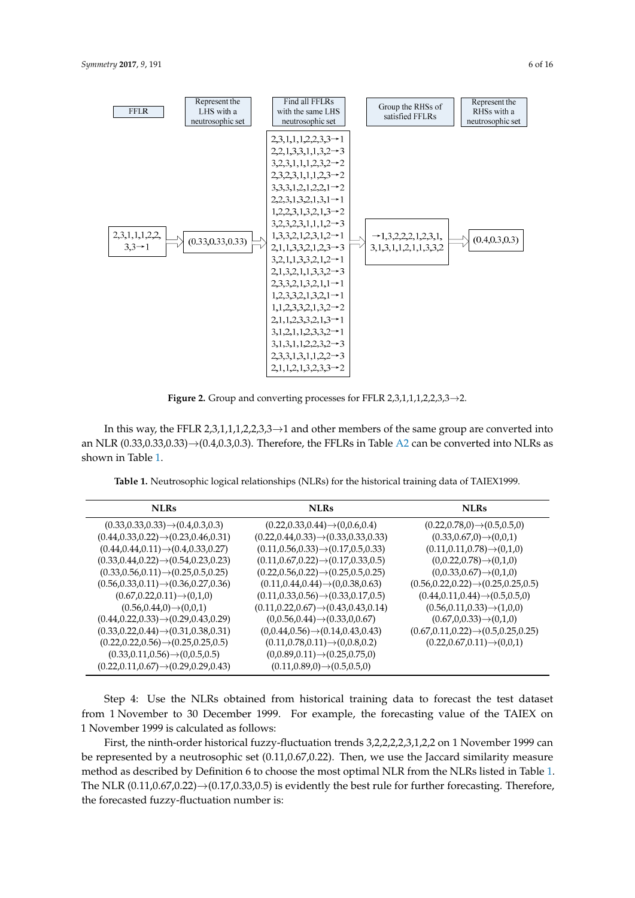<span id="page-5-0"></span>

**Figure 2.** Group and converting processes for FFLR 2,3,1,1,1,2,2,3,3→2. **Figure 2.** Group and converting processes for FFLR 2,3,1,1,1,2,2,3,3→2.

In this way, the FFLR 2,3,1,1,1,2,2,3,3 $\rightarrow$ 1 and other members of the same group are converted into an NLR  $(0.33,0.33,0.33) \rightarrow (0.4,0.3,0.3)$ . Therefore, the FFLRs in Table [A2](#page-13-0) can be converted into NLRs as Table 1. **Neutros Table 1. Neutron**ships (NLRS) for the historical training data of TAIEX1999. **The historical training data of TAIEX** shown in Table [1.](#page-5-1)

**Table 1.** Neutrosophic logical relationships (NLRs) for the historical training data of TAIEX1999.

<span id="page-5-1"></span>

| <b>NLRs</b>                                         | <b>NLRs</b>                                         | <b>NLRs</b>                                        |
|-----------------------------------------------------|-----------------------------------------------------|----------------------------------------------------|
| $(0.33, 0.33, 0.33) \rightarrow (0.4, 0.3, 0.3)$    | $(0.22, 0.33, 0.44) \rightarrow (0, 0.6, 0.4)$      | $(0.22, 0.78, 0) \rightarrow (0.5, 0.5, 0)$        |
| $(0.44, 0.33, 0.22) \rightarrow (0.23, 0.46, 0.31)$ | $(0.22, 0.44, 0.33) \rightarrow (0.33, 0.33, 0.33)$ | $(0.33, 0.67, 0) \rightarrow (0, 0, 1)$            |
| $(0.44, 0.44, 0.11) \rightarrow (0.4, 0.33, 0.27)$  | $(0.11, 0.56, 0.33) \rightarrow (0.17, 0.5, 0.33)$  | $(0.11, 0.11, 0.78) \rightarrow (0, 1, 0)$         |
| $(0.33, 0.44, 0.22) \rightarrow (0.54, 0.23, 0.23)$ | $(0.11, 0.67, 0.22) \rightarrow (0.17, 0.33, 0.5)$  | $(0,0.22,0.78) \rightarrow (0,1,0)$                |
| $(0.33, 0.56, 0.11) \rightarrow (0.25, 0.5, 0.25)$  | $(0.22, 0.56, 0.22) \rightarrow (0.25, 0.5, 0.25)$  | $(0,0.33,0.67) \rightarrow (0,1,0)$                |
| $(0.56, 0.33, 0.11) \rightarrow (0.36, 0.27, 0.36)$ | $(0.11, 0.44, 0.44) \rightarrow (0, 0.38, 0.63)$    | $(0.56, 0.22, 0.22) \rightarrow (0.25, 0.25, 0.5)$ |
| $(0.67, 0.22, 0.11) \rightarrow (0.1, 0)$           | $(0.11, 0.33, 0.56) \rightarrow (0.33, 0.17, 0.5)$  | $(0.44, 0.11, 0.44) \rightarrow (0.5, 0.5, 0)$     |
| $(0.56, 0.44, 0) \rightarrow (0, 0, 1)$             | $(0.11, 0.22, 0.67) \rightarrow (0.43, 0.43, 0.14)$ | $(0.56, 0.11, 0.33) \rightarrow (1, 0, 0)$         |
| $(0.44, 0.22, 0.33) \rightarrow (0.29, 0.43, 0.29)$ | $(0,0.56,0.44) \rightarrow (0.33,0,0.67)$           | $(0.67, 0.0.33) \rightarrow (0.1, 0)$              |
| $(0.33, 0.22, 0.44) \rightarrow (0.31, 0.38, 0.31)$ | $(0,0.44,0.56) \rightarrow (0.14,0.43,0.43)$        | $(0.67, 0.11, 0.22) \rightarrow (0.5, 0.25, 0.25)$ |
| $(0.22, 0.22, 0.56) \rightarrow (0.25, 0.25, 0.5)$  | $(0.11, 0.78, 0.11) \rightarrow (0.0.8, 0.2)$       | $(0.22, 0.67, 0.11) \rightarrow (0, 0, 1)$         |
| $(0.33, 0.11, 0.56) \rightarrow (0.0.5, 0.5)$       | $(0,0.89,0.11) \rightarrow (0.25,0.75,0)$           |                                                    |
| $(0.22, 0.11, 0.67) \rightarrow (0.29, 0.29, 0.43)$ | $(0.11, 0.89, 0) \rightarrow (0.5, 0.5, 0)$         |                                                    |

Step 4: Use the NLRs obtained from historical training data to forecast the test dataset from 1 November to 30 December 1999. For example, the forecasting value of the TAIEX on 1 November 1999 is calculated as follows:

First, the ninth-order historical fuzzy-fluctuation trends 3,2,2,2,2,3,1,2,2 on 1 November 1999 can be represented by a neutrosophic set (0.11,0.67,0.22). Then, we use the Jaccard similarity measure method as described by Definition 6 to choose the most optimal NLR from the NLRs listed in Table [1.](#page-5-1) The NLR (0.11,0.67,0.22)→(0.17,0.33,0.5) is evidently the best rule for further forecasting. Therefore, the forecasted fuzzy-fluctuation number is: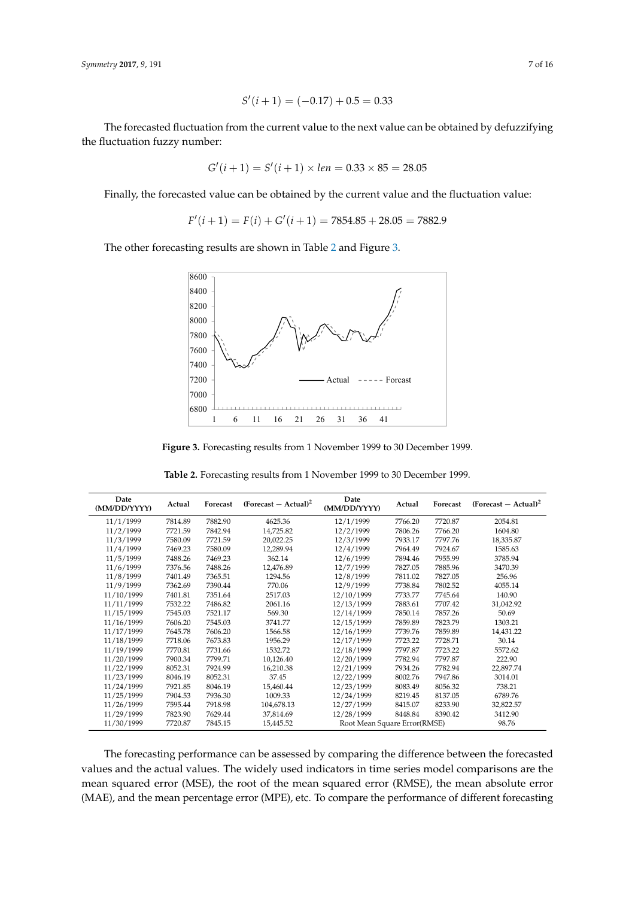$$
S'(i+1) = (-0.17) + 0.5 = 0.33
$$

The forecasted fluctuation from the current value to the next value can be obtained by defuzzifying the fluctuation fuzzy number:

$$
G'(i+1) = S'(i+1) \times len = 0.33 \times 85 = 28.05
$$

Finally, the forecasted value can be obtained by the current value and the fluctuation value:

$$
F'(i+1) = F(i) + G'(i+1) = 7854.85 + 28.05 = 7882.9
$$

<span id="page-6-1"></span>The other forecasting results are shown in Table [2](#page-6-0) and Figure [3.](#page-6-1) The other forecasting results are shown in Table 2 and Figure 3.



**Figure 3.** Forecasting results from 1 November 1999 to 30 December 1999. **Figure 3.** Forecasting results from 1 November 1999 to 30 December 1999.

<span id="page-6-0"></span>

| Date<br>(MM/DD/YYYY) | Actual  | Forecast | $(Forecast - Actual)2$ | Date<br>(MM/DD/YYYY)         | Actual  | Forecast | $(Forecast - Actual)2$ |
|----------------------|---------|----------|------------------------|------------------------------|---------|----------|------------------------|
| 11/1/1999            | 7814.89 | 7882.90  | 4625.36                | 12/1/1999                    | 7766.20 | 7720.87  | 2054.81                |
| 11/2/1999            | 7721.59 | 7842.94  | 14,725.82              | 12/2/1999                    | 7806.26 | 7766.20  | 1604.80                |
| 11/3/1999            | 7580.09 | 7721.59  | 20,022.25              | 12/3/1999                    | 7933.17 | 7797.76  | 18,335.87              |
| 11/4/1999            | 7469.23 | 7580.09  | 12.289.94              | 12/4/1999                    | 7964.49 | 7924.67  | 1585.63                |
| 11/5/1999            | 7488.26 | 7469.23  | 362.14                 | 12/6/1999                    | 7894.46 | 7955.99  | 3785.94                |
| 11/6/1999            | 7376.56 | 7488.26  | 12,476.89              | 12/7/1999                    | 7827.05 | 7885.96  | 3470.39                |
| 11/8/1999            | 7401.49 | 7365.51  | 1294.56                | 12/8/1999                    | 7811.02 | 7827.05  | 256.96                 |
| 11/9/1999            | 7362.69 | 7390.44  | 770.06                 | 12/9/1999                    | 7738.84 | 7802.52  | 4055.14                |
| 11/10/1999           | 7401.81 | 7351.64  | 2517.03                | 12/10/1999                   | 7733.77 | 7745.64  | 140.90                 |
| 11/11/1999           | 7532.22 | 7486.82  | 2061.16                | 12/13/1999                   | 7883.61 | 7707.42  | 31,042.92              |
| 11/15/1999           | 7545.03 | 7521.17  | 569.30                 | 12/14/1999                   | 7850.14 | 7857.26  | 50.69                  |
| 11/16/1999           | 7606.20 | 7545.03  | 3741.77                | 12/15/1999                   | 7859.89 | 7823.79  | 1303.21                |
| 11/17/1999           | 7645.78 | 7606.20  | 1566.58                | 12/16/1999                   | 7739.76 | 7859.89  | 14,431.22              |
| 11/18/1999           | 7718.06 | 7673.83  | 1956.29                | 12/17/1999                   | 7723.22 | 7728.71  | 30.14                  |
| 11/19/1999           | 7770.81 | 7731.66  | 1532.72                | 12/18/1999                   | 7797.87 | 7723.22  | 5572.62                |
| 11/20/1999           | 7900.34 | 7799.71  | 10,126.40              | 12/20/1999                   | 7782.94 | 7797.87  | 222.90                 |
| 11/22/1999           | 8052.31 | 7924.99  | 16,210.38              | 12/21/1999                   | 7934.26 | 7782.94  | 22,897.74              |
| 11/23/1999           | 8046.19 | 8052.31  | 37.45                  | 12/22/1999                   | 8002.76 | 7947.86  | 3014.01                |
| 11/24/1999           | 7921.85 | 8046.19  | 15.460.44              | 12/23/1999                   | 8083.49 | 8056.32  | 738.21                 |
| 11/25/1999           | 7904.53 | 7936.30  | 1009.33                | 12/24/1999                   | 8219.45 | 8137.05  | 6789.76                |
| 11/26/1999           | 7595.44 | 7918.98  | 104,678.13             | 12/27/1999                   | 8415.07 | 8233.90  | 32,822.57              |
| 11/29/1999           | 7823.90 | 7629.44  | 37,814.69              | 12/28/1999                   | 8448.84 | 8390.42  | 3412.90                |
| 11/30/1999           | 7720.87 | 7845.15  | 15,445.52              | Root Mean Square Error(RMSE) |         |          | 98.76                  |

**Table 2.** Forecasting results from 1 November 1999 to 30 December 1999.

The forecasting performance can be assessed by comparing the difference between the forecasted values and the actual values. The widely used indicators in time series model comparisons are the mean squared error (MSE), the root of the mean squared error (RMSE), the mean absolute error (MAE), and the mean percentage error (MPE), etc. To compare the performance of different forecasting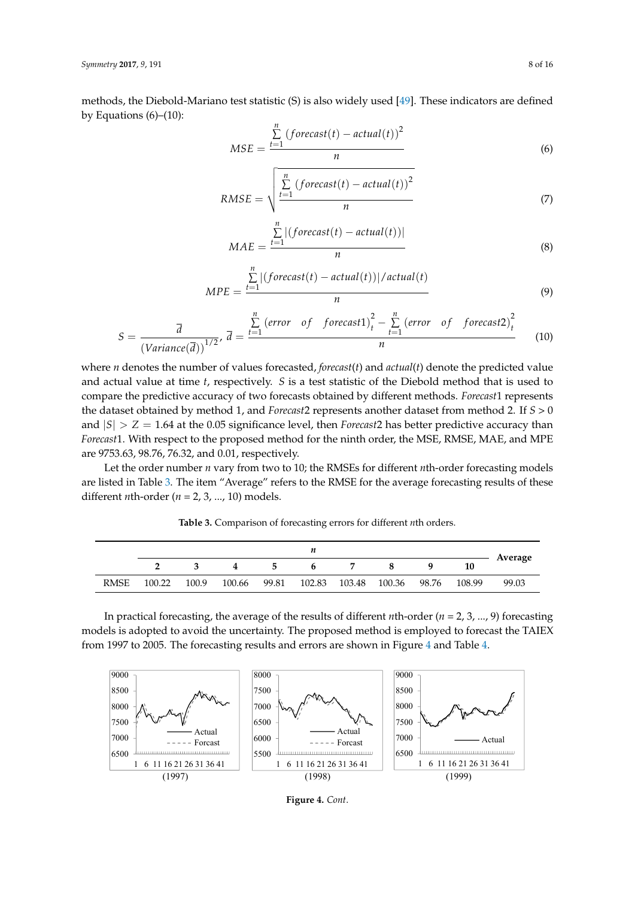methods, the Diebold-Mariano test statistic (S) is also widely used [\[49\]](#page-15-12). These indicators are defined by Equations  $(6)$ – $(10)$ :

$$
MSE = \frac{\sum_{t=1}^{n} (forecast(t) - actual(t))^2}{n}
$$
 (6)

$$
RMSE = \sqrt{\frac{\sum_{t=1}^{n} (forecast(t) - actual(t))^2}{n}}
$$
 (7)

$$
MAE = \frac{\sum_{t=1}^{n} |(forecast(t) - actual(t))|}{n}
$$
\n(8)

$$
MPE = \frac{\sum_{t=1}^{n} |(forecast(t) - actual(t))|/actual(t)}{n}
$$
\n(9)

$$
S = \frac{\overline{d}}{\left(Variance(\overline{d})\right)^{1/2}}, \ \overline{d} = \frac{\sum\limits_{t=1}^{n} \left(error \ of \ forecast1\right)^{2}_{t} - \sum\limits_{t=1}^{n} \left(error \ of \ forecast2\right)^{2}_{t}}{n}
$$
(10)

where *n* denotes the number of values forecasted, *forecast*(*t*) and *actual*(*t*) denote the predicted value *n n* and actual value at time *t*, respectively. *S* is a test statistic of the Diebold method that is used to compare the predictive accuracy of two forecasts obtained by different methods. *Forecast*1 represents compare the predictive accuracy of two forecasts obtained by different methods. Forecast1 represents the dataset obtained by method 1, and *Forecast*2 represents another dataset from method 2. If *S* > 0 and  $|S| > Z = 1.64$  at the 0.05 significance level, then *Forecast* 2 has better predictive accuracy than *Forecast*1. With respect to the proposed method for the ninth order, the MSE, RMSE, MAE, and MPE are 9753.63*,* 98.76*,* 76.32*,* and 0.01*, respectively.* and actual value at time the time time of time the Diebold method method that is used to the Diebold method that is used to the Diebold method that is used to the Diebold that is used to the Diebold method to the Diebold m

Let the order number *n* vary from two to 10; the RMSEs for different *n*th-order forecasting models are listed in Table [3.](#page-7-0) The item "Average" refers to the RMSE for the average forecasting results of these different *n*th-order ( $n = 2, 3, ..., 10$ ) models.

<span id="page-7-0"></span>Table 3. Comparison of forecasting errors for different *n*th orders.

|             | n      |       |        |       |        |        |        |       |        |         |  |
|-------------|--------|-------|--------|-------|--------|--------|--------|-------|--------|---------|--|
|             |        |       | 4      | 5     | 6      |        |        | Q     | 10     | Average |  |
| <b>RMSE</b> | 100.22 | 100.9 | 100.66 | 99.81 | 102.83 | 103.48 | 100.36 | 98.76 | 108.99 | 99.03   |  |

In practical forecasting, the average of the results of different *n*th-order (*n* = 2, 3, ..., 9) forecasting models is adopted to avoid the uncertainty. The proposed method is employed to forecast the TAIEX from 1997 to 2005. The forecasting results and errors are shown in Figure [4](#page-8-0) and Table [4.](#page-8-1)  $\sigma$  2005. The forecasting results and errors are shown in Figure 4.



**Figure 4.** *Cont*.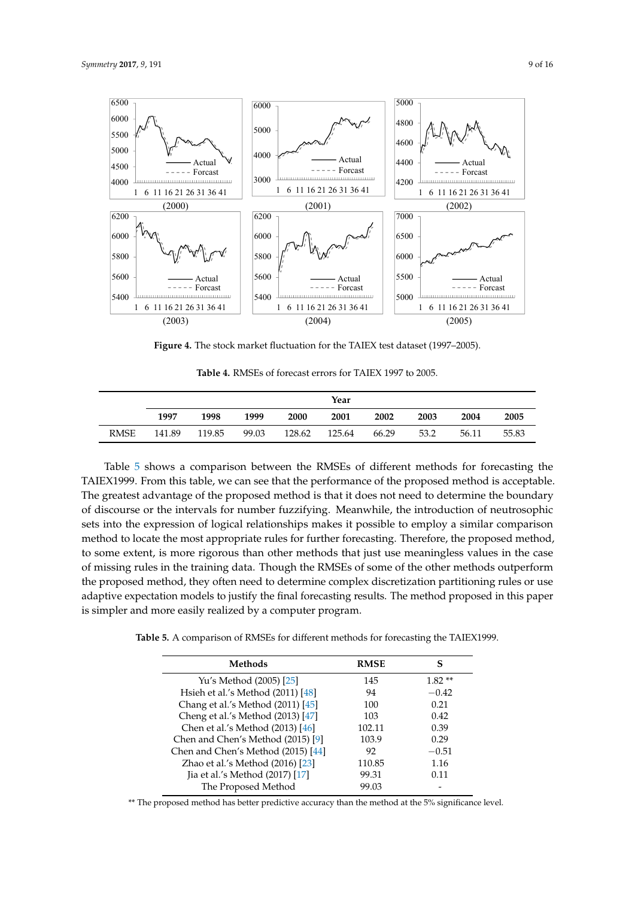<span id="page-8-0"></span>

**Figure 4.** The stock market fluctuation for the TAIEX test dataset (1997–2005). **Figure 4.** The stock market fluctuation for the TAIEX test dataset (1997–2005).

<span id="page-8-1"></span>

|             | Year   |        |       |             |        |       |      |       |       |  |  |
|-------------|--------|--------|-------|-------------|--------|-------|------|-------|-------|--|--|
|             | 1997   | 1998   | 1999  | <b>2000</b> | 2001   | 2002  | 2003 | 2004  | 2005  |  |  |
| <b>RMSE</b> | 141.89 | 119.85 | 99.03 | 128.62      | 125.64 | 66.29 | 53.2 | 56.11 | 55.83 |  |  |

**Table 4.** RMSEs of forecast errors for TAIEX 1997 to 2005.

Table [5](#page-8-2) shows a comparison between the RMSEs of different methods for forecasting the  $\sim$  10000  $\text{F}$  discourse or the intervals for number function of neutrosophic sets number function of neutrosophic sets  $\mu$ TAIEX1999. From this table, we can see that the performance of the proposed method is acceptable.<br>— The greatest advantage of the proposed method is that it does not need to determine the boundary of discourse or the intervals for number fuzzifying. Meanwhile, the introduction of neutrosophic sets into the expression of logical relationships makes it possible to employ a similar comparison method to locate the most appropriate rules for further forecasting. Therefore, the proposed method, to some extent, is more rigorous than other methods that just use meaningless values in the case of missing rules in the training data. Though the RMSEs of some of the other methods outperform adaptive expectation models to justify the final forecasting results. The method proposed in this paper **Methods RMSE S** is simpler and more easily realized by a computer program. the proposed method, they often need to determine complex discretization partitioning rules or use

Table 5. A comparison of RMSEs for different methods for forecasting the TAIEX1999.

Yu's Method (2005) [25] 145 1.82 \*\*

<span id="page-8-2"></span>

| <b>Methods</b>                     | <b>RMSE</b> | S        |
|------------------------------------|-------------|----------|
| Yu's Method (2005) [25]            | 145         | $1.82**$ |
| Hsieh et al.'s Method (2011) [48]  | 94          | $-0.42$  |
| Chang et al.'s Method (2011) [45]  | 100         | 0.21     |
| Cheng et al.'s Method (2013) [47]  | 103         | 0.42     |
| Chen et al.'s Method (2013) [46]   | 102.11      | 0.39     |
| Chen and Chen's Method (2015) [9]  | 103.9       | 0.29     |
| Chen and Chen's Method (2015) [44] | 92          | $-0.51$  |
| Zhao et al.'s Method (2016) [23]   | 110.85      | 1.16     |
| Jia et al.'s Method (2017) [17]    | 99.31       | 0.11     |
| The Proposed Method                | 99.03       |          |

\*\* The proposed method has better predictive accuracy than the method at the 5% significance level.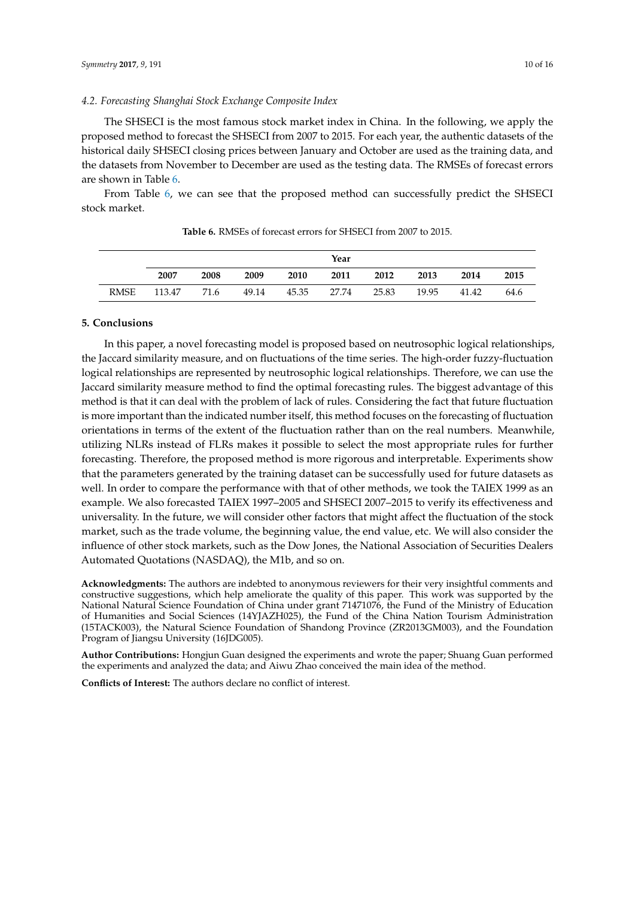## *4.2. Forecasting Shanghai Stock Exchange Composite Index*

The SHSECI is the most famous stock market index in China. In the following, we apply the proposed method to forecast the SHSECI from 2007 to 2015. For each year, the authentic datasets of the historical daily SHSECI closing prices between January and October are used as the training data, and the datasets from November to December are used as the testing data. The RMSEs of forecast errors are shown in Table [6.](#page-9-1)

<span id="page-9-1"></span>From Table [6,](#page-9-1) we can see that the proposed method can successfully predict the SHSECI stock market.

|             | Year   |      |       |       |       |       |       |       |      |  |  |
|-------------|--------|------|-------|-------|-------|-------|-------|-------|------|--|--|
|             | 2007   | 2008 | 2009  | 2010  | 2011  | 2012  | 2013  | 2014  | 2015 |  |  |
| <b>RMSE</b> | 113.47 | 71.6 | 49.14 | 45.35 | 27.74 | 25.83 | 19.95 | 41.42 | 64.6 |  |  |

**Table 6.** RMSEs of forecast errors for SHSECI from 2007 to 2015.

# <span id="page-9-0"></span>**5. Conclusions**

In this paper, a novel forecasting model is proposed based on neutrosophic logical relationships, the Jaccard similarity measure, and on fluctuations of the time series. The high-order fuzzy-fluctuation logical relationships are represented by neutrosophic logical relationships. Therefore, we can use the Jaccard similarity measure method to find the optimal forecasting rules. The biggest advantage of this method is that it can deal with the problem of lack of rules. Considering the fact that future fluctuation is more important than the indicated number itself, this method focuses on the forecasting of fluctuation orientations in terms of the extent of the fluctuation rather than on the real numbers. Meanwhile, utilizing NLRs instead of FLRs makes it possible to select the most appropriate rules for further forecasting. Therefore, the proposed method is more rigorous and interpretable. Experiments show that the parameters generated by the training dataset can be successfully used for future datasets as well. In order to compare the performance with that of other methods, we took the TAIEX 1999 as an example. We also forecasted TAIEX 1997–2005 and SHSECI 2007–2015 to verify its effectiveness and universality. In the future, we will consider other factors that might affect the fluctuation of the stock market, such as the trade volume, the beginning value, the end value, etc. We will also consider the influence of other stock markets, such as the Dow Jones, the National Association of Securities Dealers Automated Quotations (NASDAQ), the M1b, and so on.

**Acknowledgments:** The authors are indebted to anonymous reviewers for their very insightful comments and constructive suggestions, which help ameliorate the quality of this paper. This work was supported by the National Natural Science Foundation of China under grant 71471076, the Fund of the Ministry of Education of Humanities and Social Sciences (14YJAZH025), the Fund of the China Nation Tourism Administration (15TACK003), the Natural Science Foundation of Shandong Province (ZR2013GM003), and the Foundation Program of Jiangsu University (16JDG005).

**Author Contributions:** Hongjun Guan designed the experiments and wrote the paper; Shuang Guan performed the experiments and analyzed the data; and Aiwu Zhao conceived the main idea of the method.

**Conflicts of Interest:** The authors declare no conflict of interest.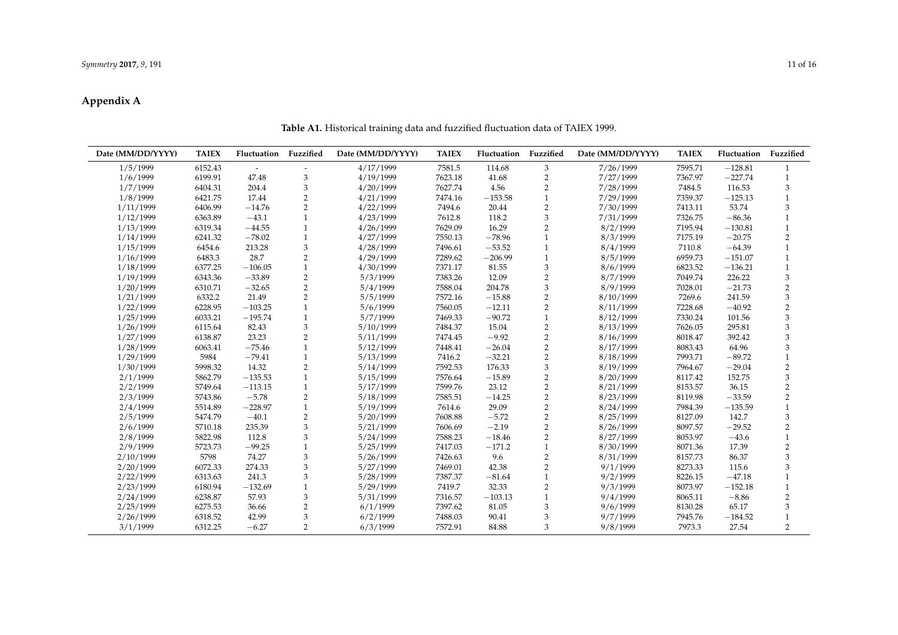# **Appendix A**

#### **Date (MM/DD/YYYY) TAIEX Fluctuation Fuzzified Date (MM/DD/YYYY) TAIEX Fluctuation Fuzzified Date (MM/DD/YYYY) TAIEX Fluctuation Fuzzified** 1/5/1999 6152.43 - - 4/17/1999 7581.5 114.68 3 7/26/1999 7595.71 −128.81 1 1/6/1999 6199.91 47.48 3 4/19/1999 7623.18 41.68 2 7/27/1999 7367.97 −227.74 1 1/7/1999 6404.31 204.4 3 4/20/1999 7627.74 4.56 2 7/28/1999 7484.5 116.53 3 1/8/1999 6421.75 17.44 2 4/21/1999 7474.16 −153.58 1 7/29/1999 7359.37 −125.13 1 1/11/1999 6406.99 −14.76 2 4/22/1999 7494.6 20.44 2 7/30/1999 7413.11 53.74 3 1/12/1999 6363.89 −43.1 1 4/23/1999 7612.8 118.2 3 7/31/1999 7326.75 −86.36 1 1/13/1999 6319.34 −44.55 1 4/26/1999 7629.09 16.29 2 8/2/1999 7195.94 −130.81 1 1/14/1999 6241.32 −78.02 1 4/27/1999 7550.13 −78.96 1 8/3/1999 7175.19 −20.75 2 1/15/1999 6454.6 213.28 3 4/28/1999 7496.61 −53.52 1 8/4/1999 7110.8 −64.39 1 1/16/1999 6483.3 28.7 2 4/29/1999 7289.62 −206.99 1 8/5/1999 6959.73 −151.07 1 1/18/1999 6377.25 −106.05 1 4/30/1999 7371.17 81.55 3 8/6/1999 6823.52 −136.21 1 1/19/1999 6343.36 −33.89 2 5/3/1999 7383.26 12.09 2 8/7/1999 7049.74 226.22 3 1/20/1999 6310.71 −32.65 2 5/4/1999 7588.04 204.78 3 8/9/1999 7028.01 −21.73 2 1/21/1999 6332.2 21.49 2 5/5/1999 7572.16 −15.88 2 8/10/1999 7269.6 241.59 3 1/22/1999 6228.95 −103.25 1 5/6/1999 7560.05 −12.11 2 8/11/1999 7228.68 −40.92 2 1/25/1999 6033.21 −195.74 1 5/7/1999 7469.33 −90.72 1 8/12/1999 7330.24 101.56 3 1/26/1999 6115.64 82.43 3 5/10/1999 7484.37 15.04 2 8/13/1999 7626.05 295.81 3 1/27/1999 6138.87 23.23 2 5/11/1999 7474.45 −9.92 2 8/16/1999 8018.47 392.42 3 1/28/1999 6063.41 −75.46 1 5/12/1999 7448.41 −26.04 2 8/17/1999 8083.43 64.96 3 1/29/1999 5984 −79.41 1 5/13/1999 7416.2 −32.21 2 8/18/1999 7993.71 −89.72 1 1/30/1999 5998.32 14.32 2 5/14/1999 7592.53 176.33 3 8/19/1999 7964.67 −29.04 2 2/1/1999 5862.79 −135.53 1 5/15/1999 7576.64 −15.89 2 8/20/1999 8117.42 152.75 3 2/2/1999 5749.64 −113.15 1 5/17/1999 7599.76 23.12 2 8/21/1999 8153.57 36.15 2 2/3/1999 5743.86 −5.78 2 5/18/1999 7585.51 −14.25 2 8/23/1999 8119.98 −33.59 2 2/4/1999 5514.89 −228.97 1 5/19/1999 7614.6 29.09 2 8/24/1999 7984.39 −135.59 1 2/5/1999 5474.79 −40.1 2 5/20/1999 7608.88 −5.72 2 8/25/1999 8127.09 142.7 3 2/6/1999 5710.18 235.39 3 5/21/1999 7606.69 −2.19 2 8/26/1999 8097.57 −29.52 2 2/8/1999 5822.98 112.8 3 5/24/1999 7588.23 −18.46 2 8/27/1999 8053.97 −43.6 1 2/9/1999 5723.73 −99.25 1 5/25/1999 7417.03 −171.2 1 8/30/1999 8071.36 17.39 2 2/10/1999 5798 74.27 3 5/26/1999 7426.63 9.6 2 8/31/1999 8157.73 86.37 3 2/20/1999 6072.33 274.33 3 5/27/1999 7469.01 42.38 2 9/1/1999 8273.33 115.6 3 2/22/1999 6313.63 241.3 3 5/28/1999 7387.37 −81.64 1 9/2/1999 8226.15 −47.18 1 2/23/1999 6180.94 −132.69 1 5/29/1999 7419.7 32.33 2 9/3/1999 8073.97 −152.18 1 2/24/1999 6238.87 57.93 3 5/31/1999 7316.57 −103.13 1 9/4/1999 8065.11 −8.86 2 2/25/1999 6275.53 36.66 2 6/1/1999 7397.62 81.05 3 9/6/1999 8130.28 65.17 3 2/26/1999 6318.52 42.99 3 6/2/1999 7488.03 90.41 3 9/7/1999 7945.76 −184.52 1 3/1/1999 6312.25 −6.27 2 6/3/1999 7572.91 84.88 3 9/8/1999 7973.3 27.54 2

#### **Table A1.** Historical training data and fuzzified fluctuation data of TAIEX 1999.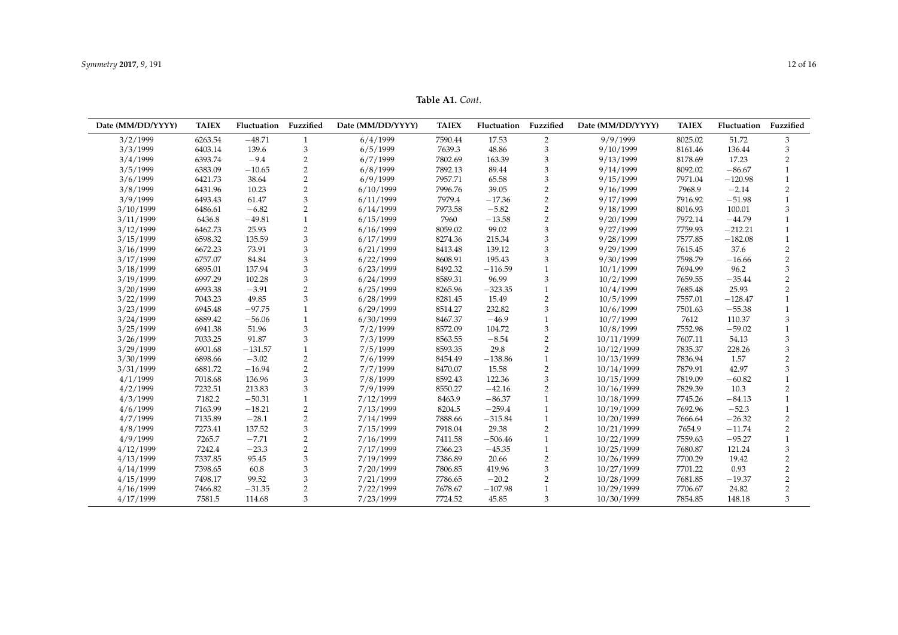**Table A1.** *Cont*.

<span id="page-11-0"></span>

| Date (MM/DD/YYYY) | <b>TAIEX</b> | Fluctuation | Fuzzified      | Date (MM/DD/YYYY) | <b>TAIEX</b> | Fluctuation | Fuzzified                 | Date (MM/DD/YYYY) | <b>TAIEX</b> | Fluctuation | Fuzzified      |
|-------------------|--------------|-------------|----------------|-------------------|--------------|-------------|---------------------------|-------------------|--------------|-------------|----------------|
| 3/2/1999          | 6263.54      | $-48.71$    | $\mathbf{1}$   | 6/4/1999          | 7590.44      | 17.53       | 2                         | 9/9/1999          | 8025.02      | 51.72       | 3              |
| 3/3/1999          | 6403.14      | 139.6       | 3              | 6/5/1999          | 7639.3       | 48.86       | $\ensuremath{\mathsf{3}}$ | 9/10/1999         | 8161.46      | 136.44      | 3              |
| 3/4/1999          | 6393.74      | $-9.4$      | $\overline{2}$ | 6/7/1999          | 7802.69      | 163.39      | 3                         | 9/13/1999         | 8178.69      | 17.23       | 2              |
| 3/5/1999          | 6383.09      | $-10.65$    | $\overline{2}$ | 6/8/1999          | 7892.13      | 89.44       | 3                         | 9/14/1999         | 8092.02      | $-86.67$    |                |
| 3/6/1999          | 6421.73      | 38.64       | $\overline{2}$ | 6/9/1999          | 7957.71      | 65.58       | 3                         | 9/15/1999         | 7971.04      | $-120.98$   |                |
| 3/8/1999          | 6431.96      | 10.23       | $\overline{2}$ | 6/10/1999         | 7996.76      | 39.05       | $\overline{2}$            | 9/16/1999         | 7968.9       | $-2.14$     | $\overline{2}$ |
| 3/9/1999          | 6493.43      | 61.47       | $\mathfrak z$  | 6/11/1999         | 7979.4       | $-17.36$    | $\overline{2}$            | 9/17/1999         | 7916.92      | $-51.98$    |                |
| 3/10/1999         | 6486.61      | $-6.82$     | $\overline{2}$ | 6/14/1999         | 7973.58      | $-5.82$     | $\overline{2}$            | 9/18/1999         | 8016.93      | 100.01      | 3              |
| 3/11/1999         | 6436.8       | $-49.81$    | $\mathbf{1}$   | 6/15/1999         | 7960         | $-13.58$    | $\overline{2}$            | 9/20/1999         | 7972.14      | $-44.79$    |                |
| 3/12/1999         | 6462.73      | 25.93       | 2              | 6/16/1999         | 8059.02      | 99.02       | 3                         | 9/27/1999         | 7759.93      | $-212.21$   |                |
| 3/15/1999         | 6598.32      | 135.59      | 3              | 6/17/1999         | 8274.36      | 215.34      | 3                         | 9/28/1999         | 7577.85      | $-182.08$   |                |
| 3/16/1999         | 6672.23      | 73.91       | 3              | 6/21/1999         | 8413.48      | 139.12      | 3                         | 9/29/1999         | 7615.45      | 37.6        | 2              |
| 3/17/1999         | 6757.07      | 84.84       | 3              | 6/22/1999         | 8608.91      | 195.43      | 3                         | 9/30/1999         | 7598.79      | $-16.66$    | $\overline{2}$ |
| 3/18/1999         | 6895.01      | 137.94      | 3              | 6/23/1999         | 8492.32      | $-116.59$   |                           | 10/1/1999         | 7694.99      | 96.2        | 3              |
| 3/19/1999         | 6997.29      | 102.28      | 3              | 6/24/1999         | 8589.31      | 96.99       | 3                         | 10/2/1999         | 7659.55      | $-35.44$    | $\overline{2}$ |
| 3/20/1999         | 6993.38      | $-3.91$     | $\overline{2}$ | 6/25/1999         | 8265.96      | $-323.35$   | $\mathbf{1}$              | 10/4/1999         | 7685.48      | 25.93       | $\overline{2}$ |
| 3/22/1999         | 7043.23      | 49.85       | 3              | 6/28/1999         | 8281.45      | 15.49       | $\overline{2}$            | 10/5/1999         | 7557.01      | $-128.47$   |                |
| 3/23/1999         | 6945.48      | $-97.75$    |                | 6/29/1999         | 8514.27      | 232.82      | 3                         | 10/6/1999         | 7501.63      | $-55.38$    |                |
| 3/24/1999         | 6889.42      | $-56.06$    | $\mathbf{1}$   | 6/30/1999         | 8467.37      | $-46.9$     | $\mathbf{1}$              | 10/7/1999         | 7612         | 110.37      | 3              |
| 3/25/1999         | 6941.38      | 51.96       | 3              | 7/2/1999          | 8572.09      | 104.72      | 3                         | 10/8/1999         | 7552.98      | $-59.02$    |                |
| 3/26/1999         | 7033.25      | 91.87       | 3              | 7/3/1999          | 8563.55      | $-8.54$     | $\overline{2}$            | 10/11/1999        | 7607.11      | 54.13       | 3              |
| 3/29/1999         | 6901.68      | $-131.57$   |                | 7/5/1999          | 8593.35      | 29.8        | $\overline{2}$            | 10/12/1999        | 7835.37      | 228.26      | 3              |
| 3/30/1999         | 6898.66      | $-3.02$     | 2              | 7/6/1999          | 8454.49      | $-138.86$   |                           | 10/13/1999        | 7836.94      | 1.57        | $\overline{2}$ |
| 3/31/1999         | 6881.72      | $-16.94$    | $\overline{2}$ | 7/7/1999          | 8470.07      | 15.58       | $\overline{2}$            | 10/14/1999        | 7879.91      | 42.97       | 3              |
| 4/1/1999          | 7018.68      | 136.96      | 3              | 7/8/1999          | 8592.43      | 122.36      | 3                         | 10/15/1999        | 7819.09      | $-60.82$    |                |
| 4/2/1999          | 7232.51      | 213.83      | 3              | 7/9/1999          | 8550.27      | $-42.16$    | $\overline{2}$            | 10/16/1999        | 7829.39      | 10.3        |                |
| 4/3/1999          | 7182.2       | $-50.31$    |                | 7/12/1999         | 8463.9       | $-86.37$    | $\mathbf{1}$              | 10/18/1999        | 7745.26      | $-84.13$    |                |
| 4/6/1999          | 7163.99      | $-18.21$    | 2              | 7/13/1999         | 8204.5       | $-259.4$    | $\mathbf{1}$              | 10/19/1999        | 7692.96      | $-52.3$     |                |
| 4/7/1999          | 7135.89      | $-28.1$     | $\overline{2}$ | 7/14/1999         | 7888.66      | $-315.84$   | $\mathbf{1}$              | 10/20/1999        | 7666.64      | $-26.32$    | 2              |
| 4/8/1999          | 7273.41      | 137.52      | 3              | 7/15/1999         | 7918.04      | 29.38       | $\overline{2}$            | 10/21/1999        | 7654.9       | $-11.74$    | $\overline{2}$ |
| 4/9/1999          | 7265.7       | $-7.71$     | $\overline{2}$ | 7/16/1999         | 7411.58      | $-506.46$   | $\mathbf{1}$              | 10/22/1999        | 7559.63      | $-95.27$    |                |
| 4/12/1999         | 7242.4       | $-23.3$     | $\overline{2}$ | 7/17/1999         | 7366.23      | $-45.35$    | $\mathbf{1}$              | 10/25/1999        | 7680.87      | 121.24      | 3              |
| 4/13/1999         | 7337.85      | 95.45       | 3              | 7/19/1999         | 7386.89      | 20.66       | $\overline{2}$            | 10/26/1999        | 7700.29      | 19.42       | $\overline{2}$ |
| 4/14/1999         | 7398.65      | 60.8        | 3              | 7/20/1999         | 7806.85      | 419.96      | 3                         | 10/27/1999        | 7701.22      | 0.93        | 2              |
| 4/15/1999         | 7498.17      | 99.52       | 3              | 7/21/1999         | 7786.65      | $-20.2$     | $\overline{2}$            | 10/28/1999        | 7681.85      | $-19.37$    | 2              |
| 4/16/1999         | 7466.82      | $-31.35$    | $\overline{2}$ | 7/22/1999         | 7678.67      | $-107.98$   | $\mathbf{1}$              | 10/29/1999        | 7706.67      | 24.82       | $\overline{2}$ |
| 4/17/1999         | 7581.5       | 114.68      | 3              | 7/23/1999         | 7724.52      | 45.85       | 3                         | 10/30/1999        | 7854.85      | 148.18      | 3              |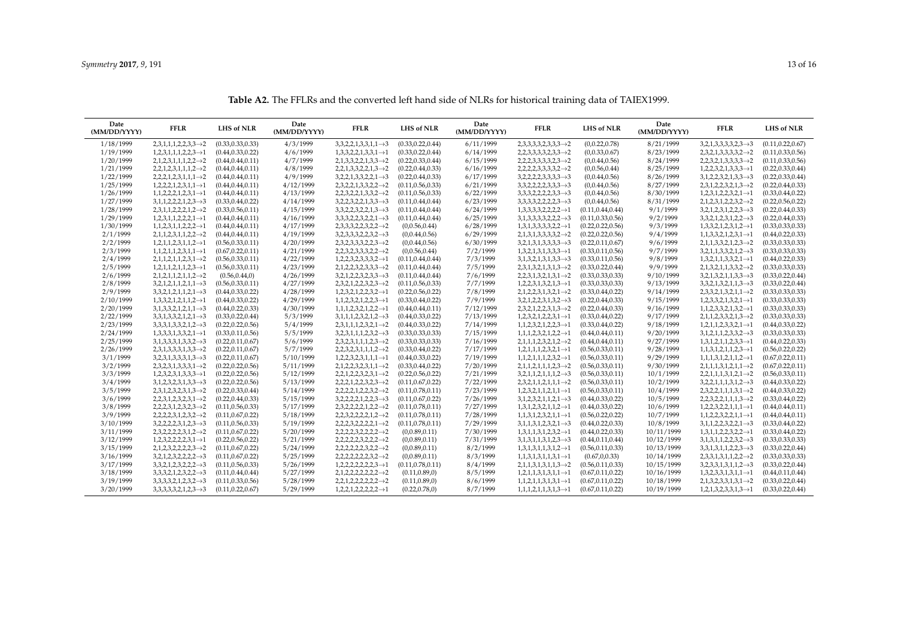| Date<br>(MM/DD/YYYY) | <b>FFLR</b>                               | <b>LHS of NLR</b>  | Date<br>(MM/DD/YYYY) | <b>FFLR</b>                               | <b>LHS of NLR</b>  | Date<br>(MM/DD/YYYY) | <b>FFLR</b>                               | <b>LHS of NLR</b>  | Date<br>(MM/DD/YYYY) | <b>FFLR</b>                               | <b>LHS of NLR</b>  |
|----------------------|-------------------------------------------|--------------------|----------------------|-------------------------------------------|--------------------|----------------------|-------------------------------------------|--------------------|----------------------|-------------------------------------------|--------------------|
| 1/18/1999            | $2,3,1,1,1,2,2,3,3 \rightarrow 2$         | (0.33, 0.33, 0.33) | 4/3/1999             | $3,3,2,2,1,3,3,1,1 \rightarrow 3$         | (0.33, 0.22, 0.44) | 6/11/1999            | $2,3,3,3,3,2,3,3,3 \rightarrow 2$         | (0,0.22,0.78)      | 8/21/1999            | $3,2,1,3,3,3,3,2,3 \rightarrow 3$         | (0.11, 0.22, 0.67) |
| 1/19/1999            | $1,2,3,1,1,1,2,2,3 \rightarrow 1$         | (0.44, 0.33, 0.22) | 4/6/1999             | $1,3,3,2,2,1,3,3,1 \rightarrow 1$         | (0.33, 0.22, 0.44) | 6/14/1999            | $2,2,3,3,3,3,2,3,3 \rightarrow 2$         | (0,0.33,0.67)      | 8/23/1999            | $2,3,2,1,3,3,3,3,2 \rightarrow 2$         | (0.11, 0.33, 0.56) |
| 1/20/1999            | $2,1,2,3,1,1,1,2,2 \rightarrow 2$         | (0.44, 0.44, 0.11) | 4/7/1999             | $2,1,3,3,2,2,1,3,3 \rightarrow 2$         | (0.22, 0.33, 0.44) | 6/15/1999            | $2,2,2,3,3,3,3,2,3 \rightarrow 2$         | (0,0.44,0.56)      | 8/24/1999            | $2,2,3,2,1,3,3,3,3 \rightarrow 2$         | (0.11, 0.33, 0.56) |
| 1/21/1999            | $2,2,1,2,3,1,1,1,2 \rightarrow 2$         | (0.44, 0.44, 0.11) | 4/8/1999             | $2,2,1,3,3,2,2,1,3 \rightarrow 2$         | (0.22, 0.44, 0.33) | 6/16/1999            | $2,2,2,2,3,3,3,3,2 \rightarrow 2$         | (0,0.56,0.44)      | 8/25/1999            | $1,2,2,3,2,1,3,3,3 \rightarrow 1$         | (0.22, 0.33, 0.44) |
| 1/22/1999            | $2,2,2,1,2,3,1,1,1 \rightarrow 2$         | (0.44, 0.44, 0.11) | 4/9/1999             | $3,2,2,1,3,3,2,2,1 \rightarrow 3$         | (0.22, 0.44, 0.33) | 6/17/1999            | $3,2,2,2,2,3,3,3,3 \rightarrow 3$         | (0,0.44,0.56)      | 8/26/1999            | $3,1,2,2,3,2,1,3,3 \rightarrow 3$         | (0.22, 0.33, 0.44) |
| 1/25/1999            | $1,2,2,2,1,2,3,1,1 \rightarrow 1$         | (0.44, 0.44, 0.11) | 4/12/1999            | $2,3,2,2,1,3,3,2,2 \rightarrow 2$         | (0.11, 0.56, 0.33) | 6/21/1999            | $3,3,2,2,2,2,3,3,3 \rightarrow 3$         | (0,0.44,0.56)      | 8/27/1999            | $2,3,1,2,2,3,2,1,3 \rightarrow 2$         | (0.22, 0.44, 0.33) |
| 1/26/1999            | $1, 1, 2, 2, 2, 1, 2, 3, 1 \rightarrow 1$ | (0.44, 0.44, 0.11) | 4/13/1999            | $2,2,3,2,2,1,3,3,2 \rightarrow 2$         | (0.11, 0.56, 0.33) | 6/22/1999            | $3,3,3,2,2,2,2,3,3 \rightarrow 3$         | (0,0.44,0.56)      | 8/30/1999            | $1,2,3,1,2,2,3,2,1 \rightarrow 1$         | (0.33, 0.44, 0.22) |
| 1/27/1999            | $3,1,1,2,2,2,1,2,3 \rightarrow 3$         | (0.33, 0.44, 0.22) | 4/14/1999            | $3,2,2,3,2,2,1,3,3 \rightarrow 3$         | (0.11, 0.44, 0.44) | 6/23/1999            | $3,3,3,3,2,2,2,2,3 \rightarrow 3$         | (0,0.44,0.56)      | 8/31/1999            | $2,1,2,3,1,2,2,3,2 \rightarrow 2$         | (0.22, 0.56, 0.22) |
| 1/28/1999            | $2,3,1,1,2,2,2,1,2 \rightarrow 2$         | (0.33, 0.56, 0.11) | 4/15/1999            | $3,3,2,2,3,2,2,1,3 \rightarrow 3$         | (0.11, 0.44, 0.44) | 6/24/1999            | $1,3,3,3,3,2,2,2,2 \rightarrow 1$         | (0.11, 0.44, 0.44) | 9/1/1999             | $3,2,1,2,3,1,2,2,3 \rightarrow 3$         | (0.22, 0.44, 0.33) |
| 1/29/1999            | $1,2,3,1,1,2,2,2,1 \rightarrow 1$         | (0.44, 0.44, 0.11) | 4/16/1999            | $3,3,3,2,2,3,2,2,1 \rightarrow 3$         | (0.11, 0.44, 0.44) | 6/25/1999            | $3,1,3,3,3,3,2,2,2 \rightarrow 3$         | (0.11, 0.33, 0.56) | 9/2/1999             | $3,3,2,1,2,3,1,2,2 \rightarrow 3$         | (0.22, 0.44, 0.33) |
| 1/30/1999            | $1, 1, 2, 3, 1, 1, 2, 2, 2 \rightarrow 1$ | (0.44, 0.44, 0.11) | 4/17/1999            | $2,3,3,3,2,2,3,2,2 \rightarrow 2$         | (0,0.56,0.44)      | 6/28/1999            | $1,3,1,3,3,3,3,2,2 \rightarrow 1$         | (0.22, 0.22, 0.56) | 9/3/1999             | $1,3,3,2,1,2,3,1,2 \rightarrow 1$         | (0.33, 0.33, 0.33) |
| 2/1/1999             | $2,1,1,2,3,1,1,2,2 \rightarrow 2$         | (0.44, 0.44, 0.11) | 4/19/1999            | $3,2,3,3,3,2,2,3,2 \rightarrow 3$         | (0,0.44,0.56)      | 6/29/1999            | $2,1,3,1,3,3,3,3,2 \rightarrow 2$         | (0.22, 0.22, 0.56) | 9/4/1999             | $1, 1, 3, 3, 2, 1, 2, 3, 1 \rightarrow 1$ | (0.44, 0.22, 0.33) |
| 2/2/1999             | $1,2,1,1,2,3,1,1,2 \rightarrow 1$         | (0.56, 0.33, 0.11) | 4/20/1999            | $2,3,2,3,3,3,2,2,3 \rightarrow 2$         | (0,0.44,0.56)      | 6/30/1999            | $3,2,1,3,1,3,3,3,3 \rightarrow 3$         | (0.22, 0.11, 0.67) | 9/6/1999             | $2,1,1,3,3,2,1,2,3 \rightarrow 2$         | (0.33, 0.33, 0.33) |
| 2/3/1999             | $1, 1, 2, 1, 1, 2, 3, 1, 1 \rightarrow 1$ | (0.67, 0.22, 0.11) | 4/21/1999            | $2,2,3,2,3,3,3,2,2 \rightarrow 2$         | (0,0.56,0.44)      | 7/2/1999             | $1,3,2,1,3,1,3,3,3 \rightarrow 1$         | (0.33, 0.11, 0.56) | 9/7/1999             | $3,2,1,1,3,3,2,1,2 \rightarrow 3$         | (0.33, 0.33, 0.33) |
| 2/4/1999             | $2,1,1,2,1,1,2,3,1 \rightarrow 2$         | (0.56, 0.33, 0.11) | 4/22/1999            | $1,2,2,3,2,3,3,3,2 \rightarrow 1$         | (0.11, 0.44, 0.44) | 7/3/1999             | $3,1,3,2,1,3,1,3,3 \rightarrow 3$         | (0.33, 0.11, 0.56) | 9/8/1999             | $1,3,2,1,1,3,3,2,1 \rightarrow 1$         | (0.44, 0.22, 0.33) |
| 2/5/1999             | $1,2,1,1,2,1,1,2,3 \rightarrow 1$         | (0.56, 0.33, 0.11) | 4/23/1999            | $2,1,2,2,3,2,3,3,3 \rightarrow 2$         | (0.11.0.44.0.44)   | 7/5/1999             | $2,3,1,3,2,1,3,1,3 \rightarrow 2$         | (0.33, 0.22, 0.44) | 9/9/1999             | $2,1,3,2,1,1,3,3,2 \rightarrow 2$         | (0.33, 0.33, 0.33) |
| 2/6/1999             | $2,1,2,1,1,2,1,1,2 \rightarrow 2$         | (0.56, 0.44, 0)    | 4/26/1999            | $3,2,1,2,2,3,2,3,3 \rightarrow 3$         | (0.11, 0.44, 0.44) | 7/6/1999             | $2,2,3,1,3,2,1,3,1 \rightarrow 2$         | (0.33, 0.33, 0.33) | 9/10/1999            | $3,2,1,3,2,1,1,3,3 \rightarrow 3$         | (0.33, 0.22, 0.44) |
| 2/8/1999             | $3,2,1,2,1,1,2,1,1 \rightarrow 3$         | (0.56, 0.33, 0.11) | 4/27/1999            | $2,3,2,1,2,2,3,2,3 \rightarrow 2$         | (0.11, 0.56, 0.33) | 7/7/1999             | $1,2,2,3,1,3,2,1,3 \rightarrow 1$         | (0.33, 0.33, 0.33) | 9/13/1999            | $3,3,2,1,3,2,1,1,3 \rightarrow 3$         | (0.33, 0.22, 0.44) |
| 2/9/1999             | $3,3,2,1,2,1,1,2,1 \rightarrow 3$         | (0.44, 0.33, 0.22) | 4/28/1999            | $1,2,3,2,1,2,2,3,2 \rightarrow 1$         | (0.22, 0.56, 0.22) | 7/8/1999             | $2,1,2,2,3,1,3,2,1 \rightarrow 2$         | (0.33, 0.44, 0.22) | 9/14/1999            | $2,3,3,2,1,3,2,1,1 \rightarrow 2$         | (0.33, 0.33, 0.33) |
| 2/10/1999            | $1,3,3,2,1,2,1,1,2 \rightarrow 1$         | (0.44, 0.33, 0.22) | 4/29/1999            | $1, 1, 2, 3, 2, 1, 2, 2, 3 \rightarrow 1$ | (0.33, 0.44, 0.22) | 7/9/1999             | $3,2,1,2,2,3,1,3,2 \rightarrow 3$         | (0.22, 0.44, 0.33) | 9/15/1999            | $1,2,3,3,2,1,3,2,1 \rightarrow 1$         | (0.33, 0.33, 0.33) |
| 2/20/1999            | $3,1,3,3,2,1,2,1,1 \rightarrow 3$         | (0.44, 0.22, 0.33) | 4/30/1999            | $1,1,1,2,3,2,1,2,2 \rightarrow 1$         | (0.44, 0.44, 0.11) | 7/12/1999            | $2,3,2,1,2,2,3,1,3 \rightarrow 2$         | (0.22, 0.44, 0.33) | 9/16/1999            | $1, 1, 2, 3, 3, 2, 1, 3, 2 \rightarrow 1$ | (0.33, 0.33, 0.33) |
| 2/22/1999            | $3,3,1,3,3,2,1,2,1 \rightarrow 3$         | (0.33, 0.22, 0.44) | 5/3/1999             | $3,1,1,1,2,3,2,1,2 \rightarrow 3$         | (0.44, 0.33, 0.22) | 7/13/1999            | $1,2,3,2,1,2,2,3,1 \rightarrow 1$         | (0.33, 0.44, 0.22) | 9/17/1999            | $2,1,1,2,3,3,2,1,3 \rightarrow 2$         | (0.33, 0.33, 0.33) |
| 2/23/1999            | $3,3,3,1,3,3,2,1,2 \rightarrow 3$         | (0.22, 0.22, 0.56) | 5/4/1999             | $2,3,1,1,1,2,3,2,1 \rightarrow 2$         | (0.44, 0.33, 0.22) | 7/14/1999            | $1, 1, 2, 3, 2, 1, 2, 2, 3 \rightarrow 1$ | (0.33, 0.44, 0.22) | 9/18/1999            | $1,2,1,1,2,3,3,2,1 \rightarrow 1$         | (0.44, 0.33, 0.22) |
| 2/24/1999            | $1,3,3,3,1,3,3,2,1 \rightarrow 1$         | (0.33, 0.11, 0.56) | 5/5/1999             | $3,2,3,1,1,1,2,3,2 \rightarrow 3$         | (0.33, 0.33, 0.33) | 7/15/1999            | $1,1,1,2,3,2,1,2,2 \rightarrow 1$         | (0.44, 0.44, 0.11) | 9/20/1999            | $3,1,2,1,1,2,3,3,2 \rightarrow 3$         | (0.33, 0.33, 0.33) |
| 2/25/1999            | $3,1,3,3,3,1,3,3,2 \rightarrow 3$         | (0.22, 0.11, 0.67) | 5/6/1999             | $2,3,2,3,1,1,1,2,3 \rightarrow 2$         | (0.33, 0.33, 0.33) | 7/16/1999            | $2,1,1,1,2,3,2,1,2 \rightarrow 2$         | (0.44, 0.44, 0.11) | 9/27/1999            | $1,3,1,2,1,1,2,3,3 \rightarrow 1$         | (0.44, 0.22, 0.33) |
| 2/26/1999            | $2,3,1,3,3,3,1,3,3 \rightarrow 2$         | (0.22, 0.11, 0.67) | 5/7/1999             | $2,2,3,2,3,1,1,1,2 \rightarrow 2$         | (0.33, 0.44, 0.22) | 7/17/1999            | $1,2,1,1,1,2,3,2,1 \rightarrow 1$         | (0.56, 0.33, 0.11) | 9/28/1999            | $1, 1, 3, 1, 2, 1, 1, 2, 3 \rightarrow 1$ | (0.56, 0.22, 0.22) |
| 3/1/1999             | $3,2,3,1,3,3,3,1,3 \rightarrow 3$         | (0.22, 0.11, 0.67) | 5/10/1999            | $1,2,2,3,2,3,1,1,1 \rightarrow 1$         | (0.44, 0.33, 0.22) | 7/19/1999            | $1,1,2,1,1,1,2,3,2 \rightarrow 1$         | (0.56, 0.33, 0.11) | 9/29/1999            | $1,1,1,3,1,2,1,1,2 \rightarrow 1$         | (0.67, 0.22, 0.11) |
| 3/2/1999             | $2,3,2,3,1,3,3,3,1 \rightarrow 2$         | (0.22, 0.22, 0.56) | 5/11/1999            | $2,1,2,2,3,2,3,1,1 \rightarrow 2$         | (0.33, 0.44, 0.22) | 7/20/1999            | $2,1,1,2,1,1,1,2,3 \rightarrow 2$         | (0.56, 0.33, 0.11) | 9/30/1999            | $2,1,1,1,3,1,2,1,1 \rightarrow 2$         | (0.67, 0.22, 0.11) |
| 3/3/1999             | $1,2,3,2,3,1,3,3,3 \rightarrow 1$         | (0.22, 0.22, 0.56) | 5/12/1999            | $2,2,1,2,2,3,2,3,1 \rightarrow 2$         | (0.22, 0.56, 0.22) | 7/21/1999            | $3,2,1,1,2,1,1,1,2 \rightarrow 3$         | (0.56, 0.33, 0.11) | 10/1/1999            | $2,2,1,1,1,3,1,2,1 \rightarrow 2$         | (0.56, 0.33, 0.11) |
| 3/4/1999             | $3,1,2,3,2,3,1,3,3 \rightarrow 3$         | (0.22, 0.22, 0.56) | 5/13/1999            | $2,2,2,1,2,2,3,2,3 \rightarrow 2$         | (0.11, 0.67, 0.22) | 7/22/1999            | $2,3,2,1,1,2,1,1,1 \rightarrow 2$         | (0.56, 0.33, 0.11) | 10/2/1999            | $3,2,2,1,1,1,3,1,2 \rightarrow 3$         | (0.44, 0.33, 0.22) |
| 3/5/1999             | $2,3,1,2,3,2,3,1,3 \rightarrow 2$         | (0.22, 0.33, 0.44) | 5/14/1999            | $2,2,2,2,1,2,2,3,2 \rightarrow 2$         | (0.11, 0.78, 0.11) | 7/23/1999            | $1,2,3,2,1,1,2,1,1 \rightarrow 1$         | (0.56, 0.33, 0.11) | 10/4/1999            | $2,3,2,2,1,1,1,3,1 \rightarrow 2$         | (0.44, 0.33, 0.22) |
| 3/6/1999             | $2,2,3,1,2,3,2,3,1 \rightarrow 2$         | (0.22, 0.44, 0.33) | 5/15/1999            | $3,2,2,2,2,1,2,2,3 \rightarrow 3$         | (0.11, 0.67, 0.22) | 7/26/1999            | $3,1,2,3,2,1,1,2,1 \rightarrow 3$         | (0.44, 0.33, 0.22) | 10/5/1999            | $2,2,3,2,2,1,1,1,3 \rightarrow 2$         | (0.33, 0.44, 0.22) |
| 3/8/1999             | $2,2,2,3,1,2,3,2,3 \rightarrow 2$         | (0.11, 0.56, 0.33) | 5/17/1999            | $2,3,2,2,2,2,1,2,2 \rightarrow 2$         | (0.11, 0.78, 0.11) | 7/27/1999            | $1,3,1,2,3,2,1,1,2 \rightarrow 1$         | (0.44, 0.33, 0.22) | 10/6/1999            | $1,2,2,3,2,2,1,1,1 \rightarrow 1$         | (0.44, 0.44, 0.11) |
| 3/9/1999             | $2,2,2,2,3,1,2,3,2 \rightarrow 2$         | (0.11, 0.67, 0.22) | 5/18/1999            | $2,2,3,2,2,2,2,1,2 \rightarrow 2$         | (0.11, 0.78, 0.11) | 7/28/1999            | $1,1,3,1,2,3,2,1,1 \rightarrow 1$         | (0.56, 0.22, 0.22) | 10/7/1999            | $1, 1, 2, 2, 3, 2, 2, 1, 1 \rightarrow 1$ | (0.44, 0.44, 0.11) |
| 3/10/1999            | $3,2,2,2,2,3,1,2,3 \rightarrow 3$         | (0.11, 0.56, 0.33) | 5/19/1999            | $2,2,2,3,2,2,2,2,1 \rightarrow 2$         | (0.11, 0.78, 0.11) | 7/29/1999            | $3,1,1,3,1,2,3,2,1 \rightarrow 3$         | (0.44, 0.22, 0.33) | 10/8/1999            | $3,1,1,2,2,3,2,2,1 \rightarrow 3$         | (0.33, 0.44, 0.22) |
| 3/11/1999            | $2,3,2,2,2,2,3,1,2 \rightarrow 2$         | (0.11, 0.67, 0.22) | 5/20/1999            | $2,2,2,2,3,2,2,2,2 \rightarrow 2$         | (0,0.89,0.11)      | 7/30/1999            | $1,3,1,1,3,1,2,3,2 \rightarrow 1$         | (0.44, 0.22, 0.33) | 10/11/1999           | $1,3,1,1,2,2,3,2,2 \rightarrow 1$         | (0.33, 0.44, 0.22) |
| 3/12/1999            | $1,2,3,2,2,2,2,3,1 \rightarrow 1$         | (0.22, 0.56, 0.22) | 5/21/1999            | $2,2,2,2,2,3,2,2,2 \rightarrow 2$         | (0,0.89,0.11)      | 7/31/1999            | $3,1,3,1,1,3,1,2,3 \rightarrow 3$         | (0.44, 0.11, 0.44) | 10/12/1999           | $3,1,3,1,1,2,2,3,2 \rightarrow 3$         | (0.33, 0.33, 0.33) |
| 3/15/1999            | $2,1,2,3,2,2,2,2,3 \rightarrow 2$         | (0.11, 0.67, 0.22) | 5/24/1999            | $2,2,2,2,2,2,3,2,2 \rightarrow 2$         | (0,0.89,0.11)      | 8/2/1999             | $1,3,1,3,1,1,3,1,2 \rightarrow 1$         | (0.56, 0.11, 0.33) | 10/13/1999           | $3,3,1,3,1,1,2,2,3 \rightarrow 3$         | (0.33, 0.22, 0.44) |
| 3/16/1999            | $3,2,1,2,3,2,2,2,2 \rightarrow 3$         | (0.11, 0.67, 0.22) | 5/25/1999            | $2,2,2,2,2,2,3,2 \rightarrow 2$           | (0,0.89,0.11)      | 8/3/1999             | $1,1,3,1,3,1,1,3,1 \rightarrow 1$         | (0.67, 0.0.33)     | 10/14/1999           | $2,3,3,1,3,1,1,2,2 \rightarrow 2$         | (0.33, 0.33, 0.33) |
| 3/17/1999            | $3,3,2,1,2,3,2,2,2 \rightarrow 3$         | (0.11, 0.56, 0.33) | 5/26/1999            | $1,2,2,2,2,2,2,2,3 \rightarrow 1$         | (0.11, 0.78, 0.11) | 8/4/1999             | $2,1,1,3,1,3,1,1,3 \rightarrow 2$         | (0.56, 0.11, 0.33) | 10/15/1999           | $3,2,3,3,1,3,1,1,2 \rightarrow 3$         | (0.33, 0.22, 0.44) |
| 3/18/1999            | $3,3,3,2,1,2,3,2,2 \rightarrow 3$         | (0.11, 0.44, 0.44) | 5/27/1999            | $2,1,2,2,2,2,2,2,2 \rightarrow 2$         | (0.11, 0.89, 0)    | 8/5/1999             | $1,2,1,1,3,1,3,1,1 \rightarrow 1$         | (0.67, 0.11, 0.22) | 10/16/1999           | $1,3,2,3,3,1,3,1,1 \rightarrow 1$         | (0.44, 0.11, 0.44) |
| 3/19/1999            | $3,3,3,3,2,1,2,3,2 \rightarrow 3$         | (0.11, 0.33, 0.56) | 5/28/1999            | $2,2,1,2,2,2,2,2,2 \rightarrow 2$         | (0.11, 0.89, 0)    | 8/6/1999             | $1,1,2,1,1,3,1,3,1 \rightarrow 1$         | (0.67, 0.11, 0.22) | 10/18/1999           | $2,1,3,2,3,3,1,3,1 \rightarrow 2$         | (0.33, 0.22, 0.44) |
| 3/20/1999            | $3,3,3,3,3,2,1,2,3 \rightarrow 3$         | (0.11, 0.22, 0.67) | 5/29/1999            | $1,2,2,1,2,2,2,2,2 \rightarrow 1$         | (0.22, 0.78, 0)    | 8/7/1999             | $1,1,1,2,1,1,3,1,3 \rightarrow 1$         | (0.67, 0.11, 0.22) | 10/19/1999           | $1,2,1,3,2,3,3,1,3 \rightarrow 1$         | (0.33, 0.22, 0.44) |

**Table A2.** The FFLRs and the converted left hand side of NLRs for historical training data of TAIEX1999.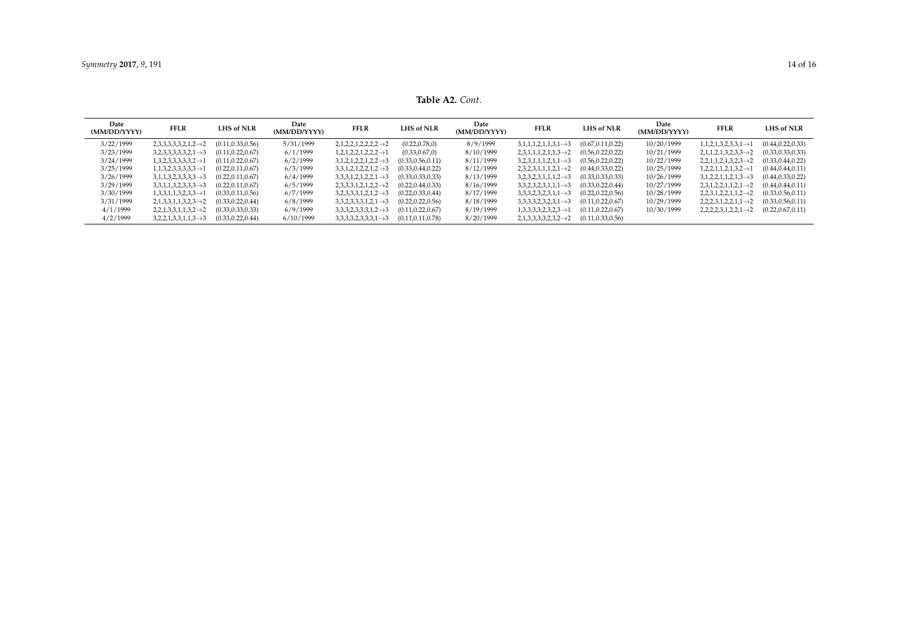**Table A2.** *Cont*.

<span id="page-13-0"></span>

| Date<br>(MM/DD/YYYY) | <b>FFLR</b>                       | <b>LHS of NLR</b>  | Date<br>(MM/DD/YYYY) | <b>FFLR</b>                       | <b>LHS of NLR</b>  | Date<br>(MM/DD/YYYY) | <b>FFLR</b>                       | <b>LHS of NLR</b>  | Date<br>(MM/DD/YYYY) | <b>FFLR</b>                       | LHS of NLR         |
|----------------------|-----------------------------------|--------------------|----------------------|-----------------------------------|--------------------|----------------------|-----------------------------------|--------------------|----------------------|-----------------------------------|--------------------|
| 3/22/1999            | $2,3,3,3,3,3,2,1,2 \rightarrow 2$ | (0.11, 0.33, 0.56) | 5/31/1999            | $2,1,2,2,1,2,2,2,2 \rightarrow 2$ | (0.22, 0.78, 0)    | 8/9/1999             | $3,1,1,1,2,1,1,3,1 \rightarrow 3$ | (0.67, 0.11, 0.22) | 10/20/1999           | $1,1,2,1,3,2,3,3,1 \rightarrow 1$ | (0.44, 0.22, 0.33) |
| 3/23/1999            | $3,2,3,3,3,3,3,2,1 \rightarrow 3$ | (0.11, 0.22, 0.67) | 6/1/1999             | $1,2,1,2,2,1,2,2,2 \rightarrow 1$ | (0.33, 0.67, 0)    | 8/10/1999            | $2,3,1,1,1,2,1,1,3 \rightarrow 2$ | (0.56, 0.22, 0.22) | 10/21/1999           | $2,1,1,2,1,3,2,3,3 \rightarrow 2$ | (0.33, 0.33, 0.33) |
| 3/24/1999            | $1,3,2,3,3,3,3,3,2 \rightarrow 1$ | (0.11, 0.22, 0.67) | 6/2/1999             | $3,1,2,1,2,2,1,2,2 \rightarrow 3$ | (0.33, 0.56, 0.11) | 8/11/1999            | $3,2,3,1,1,1,2,1,1 \rightarrow 3$ | (0.56, 0.22, 0.22) | 10/22/1999           | $2,2,1,1,2,1,3,2,3 \rightarrow 2$ | (0.33, 0.44, 0.22) |
| 3/25/1999            | $1,1,3,2,3,3,3,3,3 \rightarrow 1$ | (0.22, 0.11, 0.67) | 6/3/1999             | $3,3,1,2,1,2,2,1,2 \rightarrow 3$ | (0.33, 0.44, 0.22) | 8/12/1999            | $2,3,2,3,1,1,1,2,1 \rightarrow 2$ | (0.44, 0.33, 0.22) | 10/25/1999           | $1,2,2,1,1,2,1,3,2 \rightarrow 1$ | (0.44, 0.44, 0.11) |
| 3/26/1999            | $3,1,1,3,2,3,3,3,3 \rightarrow 3$ | (0.22, 0.11, 0.67) | 6/4/1999             | $3,3,3,1,2,1,2,2,1 \rightarrow 3$ | (0.33, 0.33, 0.33) | 8/13/1999            | $3,2,3,2,3,1,1,1,2 \rightarrow 3$ | (0.33, 0.33, 0.33) | 10/26/1999           | $3,1,2,2,1,1,2,1,3 \rightarrow 3$ | (0.44, 0.33, 0.22) |
| 3/29/1999            | $3,3,1,1,3,2,3,3,3 \rightarrow 3$ | (0.22, 0.11, 0.67) | 6/5/1999             | $2,3,3,3,1,2,1,2,2 \rightarrow 2$ | (0.22, 0.44, 0.33) | 8/16/1999            | $3,3,2,3,2,3,1,1,1 \rightarrow 3$ | (0.33, 0.22, 0.44) | 10/27/1999           | $2,3,1,2,2,1,1,2,1 \rightarrow 2$ | (0.44, 0.44, 0.11) |
| 3/30/1999            | $1,3,3,1,1,3,2,3,3 \rightarrow 1$ | (0.33, 0.11, 0.56) | 6/7/1999             | $3,2,3,3,3,1,2,1,2 \rightarrow 3$ | (0.22, 0.33, 0.44) | 8/17/1999            | $3,3,3,2,3,2,3,1,1 \rightarrow 3$ | (0.22, 0.22, 0.56) | 10/28/1999           | $2,2,3,1,2,2,1,1,2 \rightarrow 2$ | (0.33, 0.56, 0.11) |
| 3/31/1999            | $2,1,3,3,1,1,3,2,3 \rightarrow 2$ | (0.33, 0.22, 0.44) | 6/8/1999             | $3,3,2,3,3,3,1,2,1 \rightarrow 3$ | (0.22, 0.22, 0.56) | 8/18/1999            | $3,3,3,3,2,3,2,3,1 \rightarrow 3$ | (0.11, 0.22, 0.67) | 10/29/1999           | $2,2,2,3,1,2,2,1,1 \rightarrow 2$ | (0.33, 0.56, 0.11) |
| 4/1/1999             | $2,2,1,3,3,1,1,3,2 \rightarrow 2$ | (0.33, 0.33, 0.33) | 6/9/1999             | $3,3,3,2,3,3,3,1,2 \rightarrow 3$ | (0.11, 0.22, 0.67) | 8/19/1999            | $1,3,3,3,3,2,3,2,3 \rightarrow 1$ | (0.11, 0.22, 0.67) | 10/30/1999           | $2,2,2,2,3,1,2,2,1 \rightarrow 2$ | (0.22, 0.67, 0.11) |
| 4/2/1999             | $3,2,2,1,3,3,1,1,3 \rightarrow 3$ | (0.33, 0.22, 0.44) | 6/10/1999            | $3,3,3,3,2,3,3,3,1 \rightarrow 3$ | (0.11, 0.11, 0.78) | 8/20/1999            | $2,1,3,3,3,3,2,3,2 \rightarrow 2$ | (0.11, 0.33, 0.56) |                      |                                   |                    |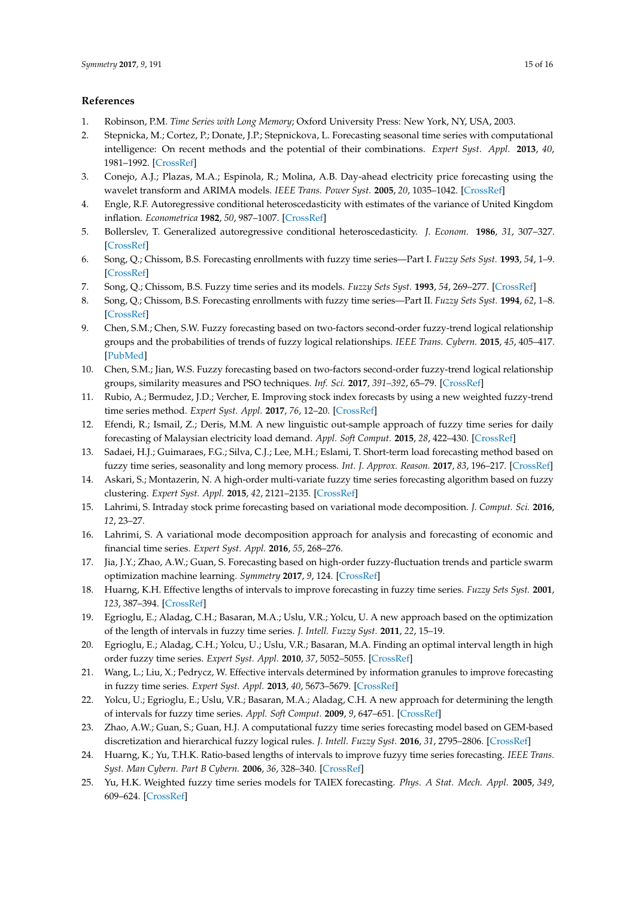## **References**

- <span id="page-14-0"></span>1. Robinson, P.M. *Time Series with Long Memory*; Oxford University Press: New York, NY, USA, 2003.
- <span id="page-14-1"></span>2. Stepnicka, M.; Cortez, P.; Donate, J.P.; Stepnickova, L. Forecasting seasonal time series with computational intelligence: On recent methods and the potential of their combinations. *Expert Syst. Appl.* **2013**, *40*, 1981–1992. [\[CrossRef\]](http://dx.doi.org/10.1016/j.eswa.2012.10.001)
- <span id="page-14-2"></span>3. Conejo, A.J.; Plazas, M.A.; Espinola, R.; Molina, A.B. Day-ahead electricity price forecasting using the wavelet transform and ARIMA models. *IEEE Trans. Power Syst.* **2005**, *20*, 1035–1042. [\[CrossRef\]](http://dx.doi.org/10.1109/TPWRS.2005.846054)
- <span id="page-14-3"></span>4. Engle, R.F. Autoregressive conditional heteroscedasticity with estimates of the variance of United Kingdom inflation. *Econometrica* **1982**, *50*, 987–1007. [\[CrossRef\]](http://dx.doi.org/10.2307/1912773)
- <span id="page-14-4"></span>5. Bollerslev, T. Generalized autoregressive conditional heteroscedasticity. *J. Econom.* **1986**, *31*, 307–327. [\[CrossRef\]](http://dx.doi.org/10.1016/0304-4076(86)90063-1)
- <span id="page-14-5"></span>6. Song, Q.; Chissom, B.S. Forecasting enrollments with fuzzy time series—Part I. *Fuzzy Sets Syst.* **1993**, *54*, 1–9. [\[CrossRef\]](http://dx.doi.org/10.1016/0165-0114(93)90355-L)
- 7. Song, Q.; Chissom, B.S. Fuzzy time series and its models. *Fuzzy Sets Syst.* **1993**, *54*, 269–277. [\[CrossRef\]](http://dx.doi.org/10.1016/0165-0114(93)90372-O)
- <span id="page-14-6"></span>8. Song, Q.; Chissom, B.S. Forecasting enrollments with fuzzy time series—Part II. *Fuzzy Sets Syst.* **1994**, *62*, 1–8. [\[CrossRef\]](http://dx.doi.org/10.1016/0165-0114(94)90067-1)
- <span id="page-14-7"></span>9. Chen, S.M.; Chen, S.W. Fuzzy forecasting based on two-factors second-order fuzzy-trend logical relationship groups and the probabilities of trends of fuzzy logical relationships. *IEEE Trans. Cybern.* **2015**, *45*, 405–417. [\[PubMed\]](http://www.ncbi.nlm.nih.gov/pubmed/25020224)
- <span id="page-14-15"></span>10. Chen, S.M.; Jian, W.S. Fuzzy forecasting based on two-factors second-order fuzzy-trend logical relationship groups, similarity measures and PSO techniques. *Inf. Sci.* **2017**, *391–392*, 65–79. [\[CrossRef\]](http://dx.doi.org/10.1016/j.ins.2016.11.004)
- 11. Rubio, A.; Bermudez, J.D.; Vercher, E. Improving stock index forecasts by using a new weighted fuzzy-trend time series method. *Expert Syst. Appl.* **2017**, *76*, 12–20. [\[CrossRef\]](http://dx.doi.org/10.1016/j.eswa.2017.01.049)
- 12. Efendi, R.; Ismail, Z.; Deris, M.M. A new linguistic out-sample approach of fuzzy time series for daily forecasting of Malaysian electricity load demand. *Appl. Soft Comput.* **2015**, *28*, 422–430. [\[CrossRef\]](http://dx.doi.org/10.1016/j.asoc.2014.11.043)
- <span id="page-14-8"></span>13. Sadaei, H.J.; Guimaraes, F.G.; Silva, C.J.; Lee, M.H.; Eslami, T. Short-term load forecasting method based on fuzzy time series, seasonality and long memory process. *Int. J. Approx. Reason.* **2017**, *83*, 196–217. [\[CrossRef\]](http://dx.doi.org/10.1016/j.ijar.2017.01.006)
- <span id="page-14-9"></span>14. Askari, S.; Montazerin, N. A high-order multi-variate fuzzy time series forecasting algorithm based on fuzzy clustering. *Expert Syst. Appl.* **2015**, *42*, 2121–2135. [\[CrossRef\]](http://dx.doi.org/10.1016/j.eswa.2014.09.036)
- <span id="page-14-10"></span>15. Lahrimi, S. Intraday stock prime forecasting based on variational mode decomposition. *J. Comput. Sci.* **2016**, *12*, 23–27.
- 16. Lahrimi, S. A variational mode decomposition approach for analysis and forecasting of economic and financial time series. *Expert Syst. Appl.* **2016**, *55*, 268–276.
- <span id="page-14-11"></span>17. Jia, J.Y.; Zhao, A.W.; Guan, S. Forecasting based on high-order fuzzy-fluctuation trends and particle swarm optimization machine learning. *Symmetry* **2017**, *9*, 124. [\[CrossRef\]](http://dx.doi.org/10.3390/sym9070124)
- <span id="page-14-12"></span>18. Huarng, K.H. Effective lengths of intervals to improve forecasting in fuzzy time series. *Fuzzy Sets Syst.* **2001**, *123*, 387–394. [\[CrossRef\]](http://dx.doi.org/10.1016/S0165-0114(00)00057-9)
- 19. Egrioglu, E.; Aladag, C.H.; Basaran, M.A.; Uslu, V.R.; Yolcu, U. A new approach based on the optimization of the length of intervals in fuzzy time series. *J. Intell. Fuzzy Syst.* **2011**, *22*, 15–19.
- 20. Egrioglu, E.; Aladag, C.H.; Yolcu, U.; Uslu, V.R.; Basaran, M.A. Finding an optimal interval length in high order fuzzy time series. *Expert Syst. Appl.* **2010**, *37*, 5052–5055. [\[CrossRef\]](http://dx.doi.org/10.1016/j.eswa.2009.12.006)
- 21. Wang, L.; Liu, X.; Pedrycz, W. Effective intervals determined by information granules to improve forecasting in fuzzy time series. *Expert Syst. Appl.* **2013**, *40*, 5673–5679. [\[CrossRef\]](http://dx.doi.org/10.1016/j.eswa.2013.04.026)
- 22. Yolcu, U.; Egrioglu, E.; Uslu, V.R.; Basaran, M.A.; Aladag, C.H. A new approach for determining the length of intervals for fuzzy time series. *Appl. Soft Comput.* **2009**, *9*, 647–651. [\[CrossRef\]](http://dx.doi.org/10.1016/j.asoc.2008.09.002)
- <span id="page-14-13"></span>23. Zhao, A.W.; Guan, S.; Guan, H.J. A computational fuzzy time series forecasting model based on GEM-based discretization and hierarchical fuzzy logical rules. *J. Intell. Fuzzy Syst.* **2016**, *31*, 2795–2806. [\[CrossRef\]](http://dx.doi.org/10.3233/JIFS-169161)
- <span id="page-14-14"></span>24. Huarng, K.; Yu, T.H.K. Ratio-based lengths of intervals to improve fuzyy time series forecasting. *IEEE Trans. Syst. Man Cybern. Part B Cybern.* **2006**, *36*, 328–340. [\[CrossRef\]](http://dx.doi.org/10.1109/TSMCB.2005.857093)
- <span id="page-14-16"></span>25. Yu, H.K. Weighted fuzzy time series models for TAIEX forecasting. *Phys. A Stat. Mech. Appl.* **2005**, *349*, 609–624. [\[CrossRef\]](http://dx.doi.org/10.1016/j.physa.2004.11.006)